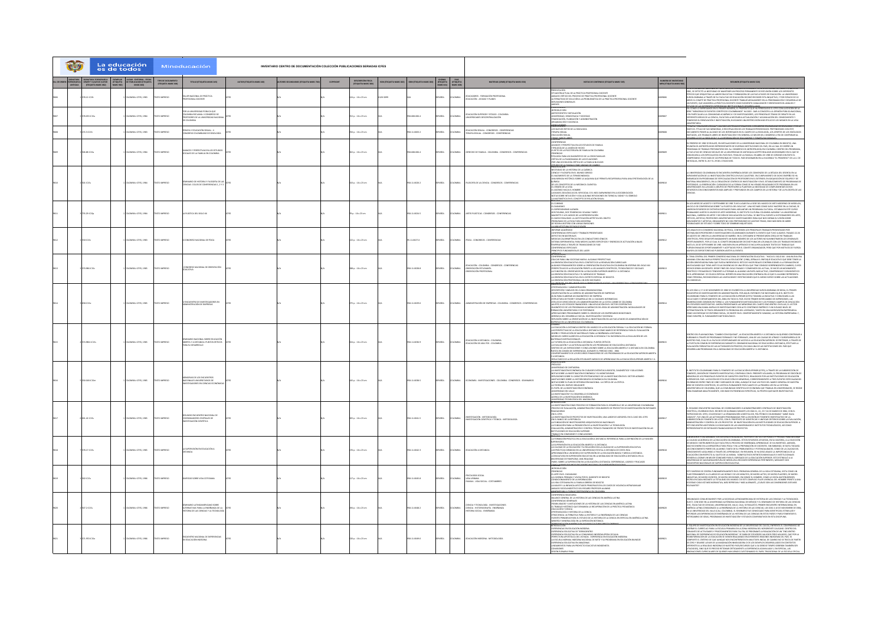| O | es de todos       | La educación           |                                          | Mineducación                                                                                                            |                          | INVENTARIO CENTRO DE DOCUMENTACIÓN COLECCIÓN PUBLICACIONES SERIADAS ICFES |                  |                                           |                      |                           |              |                                                          |                                                                                                              |                                                                                                                                                                                                                                                                                                                                                                                                                                                                                                                                                                                                                                                                                                                                                                                                                                                                                                                                                               |                                               |                                                                                                                                                                                                                                                                                                                                                                                                                                                                                                                                                                                                                                                                                                      |
|---|-------------------|------------------------|------------------------------------------|-------------------------------------------------------------------------------------------------------------------------|--------------------------|---------------------------------------------------------------------------|------------------|-------------------------------------------|----------------------|---------------------------|--------------|----------------------------------------------------------|--------------------------------------------------------------------------------------------------------------|---------------------------------------------------------------------------------------------------------------------------------------------------------------------------------------------------------------------------------------------------------------------------------------------------------------------------------------------------------------------------------------------------------------------------------------------------------------------------------------------------------------------------------------------------------------------------------------------------------------------------------------------------------------------------------------------------------------------------------------------------------------------------------------------------------------------------------------------------------------------------------------------------------------------------------------------------------------|-----------------------------------------------|------------------------------------------------------------------------------------------------------------------------------------------------------------------------------------------------------------------------------------------------------------------------------------------------------------------------------------------------------------------------------------------------------------------------------------------------------------------------------------------------------------------------------------------------------------------------------------------------------------------------------------------------------------------------------------------------------|
|   |                   |                        | TIPO DE DOCUMENTO<br>(ETIQUETA MARC 006) | TITULO (ETIQUETA MARC 245)                                                                                              | AUTOR GEOGRETA MARC 1001 | <b>CC COFFIRMADION OF INVESTIGATION</b>                                   | <b>COPYRIGHT</b> | DESCRIPCIÓN FISICA<br>(ETIQUETA MARC 200) | N ISTIQUETA MARC 022 | <b>IN ISTIQUETA MARCE</b> |              | IDIOMA PAIS<br>(ETIQUETA (ETIQUETA<br>MARC 001) MARC 008 | MATERIAS ILEMEI GEIQUETA MARC 6501                                                                           | NOTAS DE CONTENIDO (ETIQUETA MARC SOS)                                                                                                                                                                                                                                                                                                                                                                                                                                                                                                                                                                                                                                                                                                                                                                                                                                                                                                                        | NUMERO DE INVENTARIO<br>MEN (ETIQUETA MARC 90 | RESUMEN IETIQUETA MARC 5200                                                                                                                                                                                                                                                                                                                                                                                                                                                                                                                                                                                                                                                                          |
|   | 8.12 (C15)        | EBRI . 23R3/ ABMC      | <b>OZZRRM O</b>                          | <b>E NACIONAL DE PRÁCTICA</b><br>SIONAL DOCENTE                                                                         |                          |                                                                           |                  | 14 p. : 16 x 23 cm                        | 10-5299              |                           | x6o.         | <b>LOMBIA</b>                                            | DUCADORES - FORMACIÓN PRO<br>DUCACIÓN - AYUDAS Y PLANES                                                      | <b>NTACIÓN</b><br>CIÓN ACTUAL DE LA PRÁCTICA PROFESIONAL DOCENTE<br>IIS CRÍTICO DEL PROCESO DE PRÁCTICA PROFESIONAL DOCENTE<br>NATIVAS DE SOLUCIÓN A LA PROBLEMÁTICA DE LA PRÁCTICA PROFESIONAL DOCENTE<br>ZIJARINIS GENERALES                                                                                                                                                                                                                                                                                                                                                                                                                                                                                                                                                                                                                                                                                                                                |                                               | INTERNATIONAL CONSUMERANT AND CONSUMERANT CONSUMERANT CONSUMER TO A CONSUMER CONSUMER CONSUMERANT CONSUMER CONSUMER CONSUMER CONSUMER CONSUMER CONSUMER CONSUMER CONSUMER CONSUMER CONSUMER CONSUMER CONSUMER CONSUMER CONSUME                                                                                                                                                                                                                                                                                                                                                                                                                                                                       |
|   |                   | <b>MA: ICFES, 1984</b> |                                          | POR LA UNIVERSIDAD PÚBLICA QUE<br>COLOMBIA RECLAMA: II CONGRESO DE<br>PROFESORES DE LA UNIVERSIDAD NACIO<br>DE COLOMBIA |                          |                                                                           |                  | .<br>12 p.: 16 x 23 cr                    |                      |                           |              |                                                          | ACIÓN SUPERIOR Y ESTADO - COLOMBIA                                                                           | NTECEDENTES E INSTALACIÓN<br>ENTROLOGICAL MARINALISM<br>HAKINGON, DEMOGRADA Y SOCIEDAD<br>GANGACÓN Y DOCENCIA<br>NGULIONAIS                                                                                                                                                                                                                                                                                                                                                                                                                                                                                                                                                                                                                                                                                                                                                                                                                                   |                                               | COMMON AN A DESPRESSION EN EN EN ARRIVEIRO DE MARCADO DE EN PRESIDENTO EL CITAS CON LA EDICIÓN DE L<br>ESE CONO LO EXPRESANDE EN EL PRIMER INDIARDO, EL PROPÓDITO QUE HA PRESIDENDO EL CITAS CON LA EDICIÓN DE L<br>ESE PRIMERINAR A                                                                                                                                                                                                                                                                                                                                                                                                                                                                 |
|   | <b>SS.3 IC1St</b> | OMBIA: ICFES, 1983     | <b>OZZRRM</b> C                          | MPIA Y EDUCACIÓN SEXUAL : II<br>NGRESO COLOMBIANO DE SEXOLOGÍA                                                          |                          |                                                                           |                  | 56 p. : 16 x 23 cm                        |                      | 8-11-0003-2               | <b>DARA</b>  | <b>LOMBIA</b>                                            | .<br>Educación Senual - Congresos - Conferencias<br>Eerapia Senual - Congresos - Conferencias                | NUSCONS<br>NURSICON<br>MUEVOS RETOS DE LA SEXOLOGÍA                                                                                                                                                                                                                                                                                                                                                                                                                                                                                                                                                                                                                                                                                                                                                                                                                                                                                                           | ooce                                          | DISTANIAN.<br>1976: Truccacion Servan: Hann Secolus Temma Opernlis del Hicomanisto Colombiano del Servagna y Por L<br>1976: Truccacion Servanisma, o Beconfilación de Los Trabanos Presentacios, Los Apostens de Con Este<br>Lineato Po                                                                                                                                                                                                                                                                                                                                                                                                                                                              |
|   | 06.88 IC15a       | DARK KFES, 1984        | <b>OZZRRM O</b>                          | .<br>Nances y perpectivas en los estudio:<br>Xuales de la familia en colombia                                           |                          |                                                                           |                  | 262 p. : 16 x 23 cm                       |                      | $-608 - 006 - 4$          | <b>DARA</b>  | <b>LOMBIA</b>                                            | SERECHO DE FAMILIA - COLOMBIA - CONGRESOS - CONFERENCIAS                                                     | AAS VARIOS LIB<br>ERENCIAS<br><sup>Samme</sup> rrings<br>Avances' y Prespéctiva en los estudios de Familia<br>Tipología de La Unión de Hegho<br>"L'aeto de La Pricoterapia de Familia en Colombia<br>"Onencias<br>JNUNLIAS<br>OLOGIÁR PARA UN DIAGNÓSTICO DE LA CRISIS FAMILIAR<br>SÍTICA DE LA PLANOMANIA DE LAS ECUACIONES<br>DR UNA SOCIOLOGÍA CRÍTICA DE LA FAMILIA NUCLEAR<br><b>STRADOG DE 1884</b><br>DE SENT ACIÓN                                                                                                                                                                                                                                                                                                                                                                                                                                                                                                                                    |                                               | O DE LA SEKOLOGÍA Y A LA INFORMACIÓN DE EDUCADORES Y TERAPÉUTAS SEXUALE<br>FEBRERO DE 1982 SE REALIZÓ, EN INSTALACIONES DE LA UNIVERSIDAD NACIONAL DE COLOMBIA EN BOGOTÁ, UNA<br>.<br>Dirión de antropólogos representantes de dinersas instituciones del país, en la cual se diseñó un<br>Dispara de trabado preparatorio del 24 « concresso de antropolición en colombia. Dentro del programa<br>Facultad de ciencias<br>FPACILING UN CONSIDERADO ANO ANONFINO DE MESIDO DE PARADO POLA POR PARADO UN BERNO UN DE DUESTA.<br>NAVIOCARÍA A LOS ESPECIALISTAS DEL PAÍS EN EL TEMA DE LA FAMILIA. EN ARRE DE 1983 SE CORDAD CON ÉXITO EL .<br>NAPOCARÍA A LOS ES                                      |
|   | 01 IC15s          | WBIA: ICFES, 1984      | DERENI C                                 | NARIO DE HISTORIA Y FILOSOFÍA DE LAS<br>DAS: CICLOS DE CONFERENCIAS 1, 2 Y 3                                            |                          |                                                                           |                  | 143 p.: 16 x 23 cm                        |                      | 58-11-0020-2              | xÑoL         | <b>LOMBIA</b>                                            | SOFÍA DE LA CIENCIA - CONGRESOS - CONFERENCIAS                                                               | INTAGION<br>SIDAD DE LA HISTORIA DE LA QUÍMICA<br>NCIA Y FILOSOFÍA EN EL MUNDO<br>NACIMIENTO DE LA TERMOQINÁ<br>A MIRADA HISTÓRICA SOBRE LA<br>.<br>DRICA SOBRE LA ALOUIMIA QUE PERMITA RECUPERARLA PARA UNA EPISTEMOLOGÍA DE LA<br>I, ASCINSO HACIA EL HOMBRE<br>AS BASES ZOOLÓGICAS DEL SER SOCIAL O EL NEO DARMINISMO EN LA SOCIOBIOLOGÍA<br>A MATEBARINO: EN EL CONCEPTO DE RELACIÓN SEXUAL<br>ANANTAN<br>MANANY<br>MANANY                                                                                                                                                                                                                                                                                                                                                                                                                                                                                                                                |                                               | UNITERIDADE COLONNIA EL TENDICIPA DANÍSANA ESERCIA COLONNICATA LA CAÍNA A CAÍNA EL TENDICIPAL EL TENDICA EL TE<br>EN EN ENTRE EL TENTIMA EL TENDICIPAL EN EN EN EN EN EN EN EN EN EN EN ANNINO DE DOUR EN EN EN EN EN EN ENTRE<br>EN<br>CIAS                                                                                                                                                                                                                                                                                                                                                                                                                                                         |
|   | .<br>IS 29 IC15p  | MBLA: ICFES, 1984      | n aussen                                 | <b>PLÁSTICA DEL SIGLO XX</b>                                                                                            |                          |                                                                           |                  | .<br>19 a.: 16 x 23 cm                    |                      | 41.0245                   | <b>DARA</b>  | <b>LOMBIA</b>                                            | RTES PLÁSTICAS - CONGRESOS - CONFERENCIA                                                                     | JESMO<br>VOAISMO<br>DORESIONISMO ALEMÁN<br>5 FIGURAS, DOS TENDENCIAS: SOLANA Y MIRO<br>GRITTE O LOS JUEGOS DE LA REPRESENTACIÓN<br>MANINT DE DUS ANGELIA DE L'ANNAMISME DEL CELETO<br>FROBLEMAS DE LA ESCULTURA MODIFINA<br>DE RODIN A BOTERO CON VARIAS OMISIONES                                                                                                                                                                                                                                                                                                                                                                                                                                                                                                                                                                                                                                                                                            |                                               | n los meses de agosto y septiembre de 1983 tuvo lugar en la sede del museo de arte moderno de medellín.<br>N ciclo de conferencias sobre "la plástica del siglo XX". Una vez más como suele imceree en la ciudad, se<br>ieron esplirados de destintas entempos para adelantar un programa cultural establa en estacuno;<br>Balando Juntos el Museo de Artemosorras, el instituto cultural colonibo-alemán y la universida y<br>Idinal, carrera de artes y se<br>Ligion, Monisol variet valgon von Dataman de Paris (matematikana), amboli valgon salvado<br>Dicos, Anteina, Profesors Univertitaris e investigadores data que nos dieran su vrión sobre<br>Nimentos Variena, Convanente no con destr |
|   | ao icase          | MBA: ICFES, 1983       | n aussen                                 | INGRESO NACIONAL DE FÍSICA                                                                                              |                          |                                                                           |                  | 533 n - 16 x 33 cm                        |                      | 11-0027-X                 | <b>DARA</b>  | <b>AIRMOJO</b>                                           | <b>COLL</b> , CONCRESOS - CONCERENCIA                                                                        | -<br>GORME ACADÉMICO<br>ONFERENCIAS ESPECIALES Y TRABAJOS PRESENTADOS<br>RHARIN, NA MATKAMMAS<br>FECRIS EN MATERIALES<br>DIDAS CALORIMÉTRICAS EN LOS CONDUCTORES IÓNICOS<br>FENA EXPERIMENTAL PARA MIEDIR CALORES ESPECÍFICOS Y ENERGÍAS DE ACTIVACIÓN A BAIAS<br>TURAS A TRAVÉS DE TRANSICIONES DE FASE<br>erencias especiales<br>Dipios fundamentales del laser                                                                                                                                                                                                                                                                                                                                                                                                                                                                                                                                                                                             |                                               | OS ANALES DE X CONGRESO NACIONAL DE FÍSICA, CONTIENEN LOS PRINCIPALES TRABAJOS PRESENTADOS POR<br>ISTINGUIDOS PROFESORES E INVESTIGADORES COLOMBIANOS DURANTE EL EVENTO QUE TUVO LUGAR EL PASADO 22-36<br>hethronogy professions i investigacións colonamento durante el trativo que tivo lugar el parado 23-a<br>16 agosto de 1888 en la Universidad de Naról de Receband de Mechanism cerca de de Tranado<br>16 agosto de 1888 en la Univer                                                                                                                                                                                                                                                        |
|   | <b>061C15c</b>    | VIEW ICFES, 1985       | MPRESO                                   | ONGRESO NA<br>-<br>MAL DE ORIENTACIÓN                                                                                   |                          |                                                                           |                  | 188 p. : 16 x 23 cm                       |                      | $-11 - 0028 - 0$          | ŵα           |                                                          | MBA - CONGRESOS - CONFERENCIA<br>.<br>Drientación - Colombia - Co<br>Drientación Profesional                 | <b>MEERCHEME</b><br><b>JUCAR PARA UNA SOCIEDAD NUEVA, ALGUNAS PERSPECTIVAS</b><br>L'HATPON UNE ALIGIATION DIA L'ANTIGURE DE LA RENOVACIÓN CLIRRICILAR<br>UNIDE PENSAMIENTOS SOBRE LA ORIENTACIÓN EDUCATIVA EN COLOMBIA EN VÉSFRAS DEL SIGLO 300<br>EPICITIVA DE LA ESIDICACIÓN FRENTACIÓN EDUCATIVA EN COLOMBIA EN VÉS<br>FFRIDAD DEL DIRITIONE DE LA BADICADA ADPIRION PRINCIPI<br>LOBERTACIÓN EDUCATIVA Y EL DESTRITO ESPECIAL DE BOGOTÁ<br>LOBERTACIÓN PROFESIDIAL EN EL DESTRITO ESPECIAL DE BOGOTÁ<br>LOBERTACIÓN PROFESIDIAL LUNGURO EN EXTENDIO ESPECIAL T                                                                                                                                                                                                                                                                                                                                                                                             |                                               | 1 TEMA CENTRAL DEL PRIMIR CONGRESO MACONAL DE ORIENTACIÓN EDUCATIVA - "MACIA EL SGLO XIO : UNA NUEVA ERA<br>LIMONA CON UNA MUSICIA PRIMIR CON EL AS ESCURIÓN TUBIN, EN CIUDA LI BATOLOGICO COLORIZA DE CALI TORIE DE VIN<br>A ESDONA<br>el aprenegani. Se coloca especial interés en una educación centrada en lo que el alumino representa.<br>Mo persona, reconociendo las unitaciones y restreciones que el medio euro: sobre las actuaciones                                                                                                                                                                                                                                                     |
|   |                   | MAIA: ICFES, 1985      | n aussetzt                               | <b>IENTRO DE INVESTI</b>                                                                                                |                          |                                                                           |                  | 375 p. : 16 x 23 cm                       |                      | 11-0020-6                 | xio.         | <b>AIRM</b>                                              | INTERFINING EMBREGAS, COLOMBIA, CONCRESOS, CONCERENCIAR                                                      | SENTACIÓN<br>MINIMUM<br>TEMOLOGÍA Y ADMINISTRACIÓN<br>FRIFOIÓN EN LA CARRERA DE ADMINISTRACIÓN DE EMPRESAS<br>FRIFACIÓN EN LA CARRERA DE ADMINISTRACIÓN DE EMPRESAS<br>COMPUTACIÓN IN LA CARRINA DE ADMISSIONATIVA COMPRESSA<br>COMPARATIVACIÓN IN DEL CARRINA COMPRETA<br>COMPARATIVACIÓN IN DEL CARRINAL DE LA CARRINA COMPRETA<br>COMPARATIVACIÓN IN DEL CARRINAL DE LA CARRINAL COMPRETATO COMPRETATO IN<br>.<br>LEXIÓN SOBRE LA ORIENTACIÓN DE LA INVESTIGACIÓN EN LAS FACULTADES DE ADMINISTRACIÓN DE<br>RESAS EN LA UNIVERSIDAD COLOMBIANA                                                                                                                                                                                                                                                                                                                                                                                                             |                                               | I LOT GÁN 4, 5 Y 6 CE MONTAMBER DE 1980 SE CELEBRÓ DEL A UNIVERSIDAD SURCOLOMBAN A DE NEUA, EL PRIMER<br>CLIMPINO DE NACISI CADORES DE ARBANTINGADORE A DEMARCIA ENTRE LA CIENCIA DE ARCHITANTO DE INTERITORIO (14)<br>LOCATAGES Y D<br>IL MINIMARI ANNUM MONTA DE ROYAL SE DES CON ALISTO CONTINUO DARIOR DE VIL ILIYADO NUN LE COMA EL DE MINIMARI D<br>RECUNITA QUAL GANA ANAPUA DE ROYAL, SE INVESTIGACIÓNES CON ALISO CANTINUO DARIBICO Y UN ILIYARO NUNEL DE<br>NAO IN                                                                                                                                                                                                                         |
|   | 6611C15s          | IMBIA: ICFES, 1985     |                                          | SEMINARIO NACIONAL SOBRE EDUCACIÓN<br>ABIERTA Y A DISTANCIA: PUNTOS CRÍTICOS<br>PARA SU DESARROLLO                      |                          |                                                                           |                  | 124 p. : 16 x 23 cm                       |                      | $-11 - 0036 - 0$          | sio.         |                                                          | DUCACIÓN A DISTANCIA - COLOMBIA<br>DUCACIÓN DE ADULTOS - COLOMBIA                                            | umu<br>Educación a destancia dentro del marco de la educación formal y la educación no formal<br>Frencercivas de la educación a destancia como marco de referencia para su divaluación<br>Eño y producción de materiales para la enseña<br>KU I PRODUCOVNIM DA NAVNAMNAJA PRAVI UN MINIMANOVA PLANIFIKUM.<br>ELOS CURRICULARES EN LA EDUCACIÓN A DISTANCIA Y SU INCIDENCIA EN LA EVALUACIÓN DE LOS<br>NAME COMPOLATION AND CHARGEMENT PLANTIFIES TO AN INCOMPLETION CONTROL TO A REPORT OF THE STANDARD STATE STATE O<br>STALES INSTRUCTION ALLES<br>JANUSCON Y LA ALTOICANISM A DISTANCIA: FUNTOS CRÍTINGS DE EDUCACIÓN A DISTANCIA<br>1535<br><b>ANGLE DV COLOMBI</b><br>ESTA EN COMÚN DE DOFERENCIAS, DURANTE EL PERÍODO 1982 - 1984<br>DMPORTAMENTO DE LOS RECURSOS FINANCIEROS DE LOS PROGRAMAS DE LA EDUCACIÓN SUPERIOR ABIERT<br>LOSTAMONA<br>GULTADOS DE LA RELACIÓN ESTUDIANTE ANEDIOS DE APRENDIZAJE EN LA EDUCACIÓN SUPERIDR ABERTA Y<br>SENTACIÓN |                                               | O DEI DIAN NACIONAL TCAMBIO CON EQUIDADE 1 A EDISCACIÓN ABIEDEA Y A DISTANCIA UA QUEDIDO CONTR<br>UBSANAR A TRAVÉS DE PROGRAMAS FORMALES Y NO FORMALES, UNA DE LAS CAUSAS DE ATRASI<br>2 Y SUBDESARROLLO DE<br>KRIMINA I HANNA DIA PROMININKA FOROKTALIA TYIN POINIMALIA, UNIV NU UN LAULINDO IN PARTI TAIKINGA ANKALO LII.<br>PUTRO PAÏS, CUAL ES LA FALTA DI COPORTUNDA RES DE ACCESO A LA DELOLACIÓN SUPERIOR. SE PRETENDE, A TRAVIS DE<br>NUJAC<br>AROLLAN PROGRAMAS DI LA MODALIDAD DE EDUCACIÓN ABERTA Y A DISTANCIA.                                                                                                                                                                          |
|   | 0381015m          | CMBLA: ICFES, 1985     | <b>OZZRRM O</b>                          | ORIAS DE LOS ENCUENTROS<br>NACIONALES UNIVERSITARIOS DE<br>INVESTIGADORES EN CIENCIAS ECC                               |                          |                                                                           |                  | 245 p. : 16 x 23 cm                       |                      | 8-11-0038-5               | PAÑOL        | <b>LOMBIA</b>                                            | CONOMÍA - INVESTIGACIONES - COLOMBIA - CONGRESOS - SEMINARIOS                                                | -<br>IDAD DE CARTAGENA<br>INVESTIGACIÓN ECONÓMICA EN CIUDADES DISTINTAS A ROGOTÁ, DIAGNÓSTICO Y SOLUCIONES<br>dtas sobre la investigación económica y el monetarismo<br>Fredones sobre el caráctir episterrológico de la investigación en el sector agbario<br>Notaciones sobre la historiografía económica en colombia<br>TAS SOBRE EL PLAN DE INTEGRACIÓN NACIONAL: LA CRÍTICA DE LA CRÍTICA<br>oría del empleo obugante<br>Pel de la investigación económica<br>ON DOL VALLE<br>ANNISORIAD DEL VALLE<br>CERCA DE LA INVESTIGACIÓN Y EL GENERADLLO ECONÓMICO<br>CERCA DE LA INVESTIGACIÓN ECONÓMICA<br>VOGICIÓN<br>VALENTY FORMADORES DEL INVESTIGACIÓN<br>INVESTIGACIÓN                                                                                                                                                                                                                                                                                    |                                               | TO COLOMBIANO PARA EL FOMENTO DE LA EDUCACIÓN SUPERIOR (ICFES), A TRAVÉS DE LA SUBDIRECCIÓN DE<br>.<br>Mento, enverón de fomento investigativo, continúa con el presente volumen, el programa de edición di<br>Mora de los principales eventos de carácter científico, realizados por las instituciones de edición di<br>Veror del país,<br>AUFAMON AN PARA ON LUIS DE VIRON ARRAIGUNA EN PORTUGAL CAPA DE VIRON DE MARCO GENERAL DE RUESTRA.<br>CELEBRADOS ENTRE FINES DE ESBO Y MIEDIADOS DE 1984, AUNQUE SE SALE UN POCO DEL NARCO GENERAL DE RUESTRA.<br>UN MERITARIA DE COL                                                                                                                     |
|   | 0142 0154         | OMBIA: ICFES, 1985     | <b>IMPRESO</b>                           |                                                                                                                         |                          |                                                                           |                  | 105 p. : 16 x 23 cm                       |                      | $8 - 11 - 0041 - 5$       | <b>DARA</b>  | <b>MARLA</b>                                             | TIGACIÓN - METODOLOGÍA<br>TIGACIÓN CENTÍFICA Y TÉCNICA - METODOLOGÍA                                         | MANUM<br>ESTIGACIÓN COMO PROCESO DE FORMACIÓN PARA EL DESARROLLO DE LA UNIVERSIDAD COLOMBIANA<br>SO DE EVALUACIÓN, ADMINISTRACIÓN Y SEGUIMIENTO DE PROYECTOS DE INVESTIGACIÓN EN ENTIDAD<br>N EL ICFES<br>IS IL ISSEE<br>IS IL ISSEE AND AS PROVECTOS DE INVESTIGACIÓN, UNA LABOR DE ADESIDÍA: DE EL CASO DEL ISTES<br>A FARISHCIA DE MISPÓRICA<br>A FARISHCIA DE VARISHCACIÓNE DE ANOSTROLOGICA LA MISPÓRICA (PORTUGUES)<br>A FARISHCIA PARA PARA P                                                                                                                                                                                                                                                                                                                                                                                                                                                                                                          |                                               | O ENCIENTED NACIONAL DE COORDINADORES O ADMINISTR<br>KEMAND DIKCHINISI NACIONAL DE CODEMANDATA DE MARKITANDOSES COMPANES DE WINTERSCOND.<br>INDUSCRIPCION DE CONTROL DE LA COMPANENCIA INDUSCRIPCION DE CONTROL COLONIBURA "ANNI CALAS".<br>INDUSCRIPCION DE CONTROL DE CONTROL DE CONTR<br>.<br>JOHOS Y ENCONHABLES, LOS ESFUERZOS REALIZADOS, POR PARTE DEL SECTOR PÚBLICO Y PRIVADO PARA M                                                                                                                                                                                                                                                                                                        |
|   | 78.17 (C15)       | MILA: ICFES, 1985      | <b>OZZRRM</b> C                          | : SUPERVISIÓN EN EDUCACIÓN A<br>STANCIA                                                                                 |                          |                                                                           |                  | 176 p. : 16 x 23 cm                       |                      | \$8-11-0042-3             | <b>JORA</b>  | <b>LOMBIA</b>                                            | <b>JUCACIÓN A DISTANCIA</b>                                                                                  | .<br>A FORMACIÓN PRÁCTICA EN LA EDUCACIÓN A DISTANCIA: REFERENCIA PARA LA DEFINICIÓN DE LA FUNCIÓN<br>IVISORA<br>PERVISIÓN EN LA EDUCACIÓN ABIERTA Y A DISTANCIA<br>ILIDAD DE LA EDUCACIÓN Y SU RELACIÓN CON LA CALIDAD DE LA SUPERVISIÓN EDUCATIVA<br>KVALIZATION DAVIDONOMINI MARIONOMINI CONSULANDO IN INTERNATION INTERNATIONAL IN INTERNATION IN INTERNATION IN INTERNATION IN INTERNATION IN INTERNATION IN INTERNATION IN INTERNATION IN INTERNATION IN INTERNATION IN INTERNA                                                                                                                                                                                                                                                                                                                                                                                                                                                                         |                                               | M MODEL REVENIDORE DE CARRA EL CONTENERA DE CARRA EL CONTENERA DE CARRA EL CONTENERA DE CARRA EL CONTENERA DE CARRA EL CONTENERA DE CARRA EL CONTENERA DE CARRA EL CONTENERA DE CARRA EL CONTENERA DE CARRA EL CONTENERA DE C<br>INTROS NACIONALES DE SUPERVICIÓN EDUCATIVA.                                                                                                                                                                                                                                                                                                                                                                                                                         |
|   | 0210151           | CIVILIA: ICFES, 1986   | <b>OZZRRM</b> C                          | POSID SOBRE VIDA COTIDEANA                                                                                              |                          |                                                                           |                  | 117 p. : 16 x 23 cm                       |                      | 58-11-0045-8              | <b>JORAS</b> | <b>AIGMOJO</b>                                           | <b>DLOGÍA SOCIAL</b><br>VIDA URBANA<br>FAMILIA - VIDA SOCIAL - COSTUMBRES                                    | <b>NOTIFICAL CONSULTANTS AND A CONSULTANT OF THE REPORT OF THE REAL PROPERTY OF THE REAL PROPERTY OF THE REAL PROPERTY OF THE REAL PROPERTY OF THE REAL PROPERTY OF THE REAL PROPERTY OF THE REAL PROPERTY OF THE REAL PROPERTY </b><br>CHAINM ROZERS ORANGE JRO ODDER CONSUMING                                                                                                                                                                                                                                                                                                                                                                                                                                                                                                                                                                                                                                                                              |                                               | IMPOSIO SE CENTRA FUNDAMENTALMENTE EN EL PROBLEMA GENERAL DE LA VIDA COTI<br>en – MIPHORAS M. MOTHO VIRNÁMENTALANCHET EN EL PROGRAMA ESERCIAL EL LA VIDA COTIDANAN, VIETA COMO UN<br>LUIS PERMANDATE A LO LANGO DE LAS HORAS Y DE LOS MINUTOS, DE MINDO-ACTOS, DE MICRO-PALETERS, DE MICRO-<br>NGLEIRA EN CARA IN                                                                                                                                                                                                                                                                                                                                                                                    |
|   | 07.2 IC15s        | VIII A: ICFES, 1986    |                                          | AINARIO LATINOAMERICANO SOBRE<br>ERNATIVAS PARA LA ENSEÑANZA DE LA<br>TORIA DE LAS CIENCIAS Y LA TECNOLOG               |                          |                                                                           |                  | .<br>194 p. : 16 x 23 cm                  |                      | $-11 - 0048 - 2$          | ι6α          |                                                          | CIENCIA Y TECNOLOGÍA - INVESTIGACIONE<br>CIENCIA - HISTORIOGRAFÍA - ENSEÑANZA<br>HISTORIA SOCIAL - ENSEÑANZA | NFERENCIA INAUGURAL<br>LANCE GENERAL DE LA HISTORIA DE LAS CIENCIAS EN AMÉRICA LATINA.<br>HISTORIA LA CENSOLIST<br>NTHANNAIS Y LIMITALIA<br>SBILLIDADES Y LIMITACIONES DE LA HISTORIA DE LAS CIENCIAS EN AMÉRICA LATINA<br>ISAGIÓN Y CIENCIA<br>UCACIÓN Y CIENCIA<br>JALUM T LUNGAN<br>EDARGIA: A LITERNATURA ER LA CIENCIA<br>ETARGIA: A LITERNATURA PARA LA HISTORIA Y LA ENSEÑANZA DE LAS CIENCIAS<br>ETES PRRARRAS: PARA EL ESTUDIO DE LA HISTORIA DE LA CIENCIA EN ESPECIAL EN AMÉRICA LATINA.<br>ETES PRR<br><b>CONTRACTOR</b>                                                                                                                                                                                                                                                                                                                                                                                                                          |                                               | <b>IZADO CONJUNTAMENTE POR LA SOCIEDAD LATINOAMERICANA DE HISTORIA DE LAS CIENCIAS Y LA TECNOLOGÍA</b><br>SHIPALINE CON SERVE IN UNIVERSIDE AUTOMOBILE AND CONSIDERATION OF DESCRIPTION OF THE CONSIDERATION CONDITIONAL IN THE CONSIDERATION OF THE CONSIDERATION OF THE CONSIDERATION OF THE CONSIDERATION OF THE CONSIDERATION OF TH<br>RCAMBIO DE IDEAS, PROGRAMAS DE INVESTIGACIÓN Y ESTUDIOS COMPARATIVOS EN ESTA DISCIPLINA.<br>upo de investigación en educación indígena de la Universidad del Cauca; enfrenta el Compromiso                                                                                                                                                                |
|   | 1.970 (C15e)      | OMBIA: ICFES, 1986     | <b>OZZRRM OT</b>                         | ENCUENTRO NACIONAL DE EXPERIENCIAS<br>EN EDUCACIÓN INDÍGENA                                                             |                          |                                                                           |                  | 220 p. : 16 x 23 cm                       |                      | 11-0049-0                 | <b>JORKS</b> | <b>AIRMOJO</b>                                           | EDUCACIÓN INDÍGENA - METODOLOGÍA                                                                             | <b>SRENCHS EN EDUCACIÓN INDÍGENA</b><br>PARISINAN EN EDISCADON MORGAN.<br>VERICAN ARCANTA EN LA COMUNIDAD INDÍGINA EPERA DE SAUA<br>VERICIA ARCANTAN EN LA COMUNIDAD INDÍGINA EPERA DE SAUA<br>VERICAN ADENTANDA EN LA COMUNIDAD INDÍGINA EN LOUCACÓN INE INGÍE<br>VERICAN ADENTAN                                                                                                                                                                                                                                                                                                                                                                                                                                                                                                                                                                                                                                                                            |                                               | L ESSARCHE SINTERNACIÓN EN ESCADOS PRESENTES DE MONDERSEARCHE EN EN ENCARA EL ESTADO DE MONDERSE EN EL ESTADO DE MONDERSE EN EL ESTADO DE MONDERSE EN EL ESTADO DE MONDERSEARCHE EN EL ESTADO DE MONDERSEARCHE EN EL ESTADO DE<br>CURRICULARES DE QUIENES HAN VENIDO CUESTIONANDO EL PAPEL TRADICIONAL DE LA ESCUELA OFICI                                                                                                                                                                                                                                                                                                                                                                           |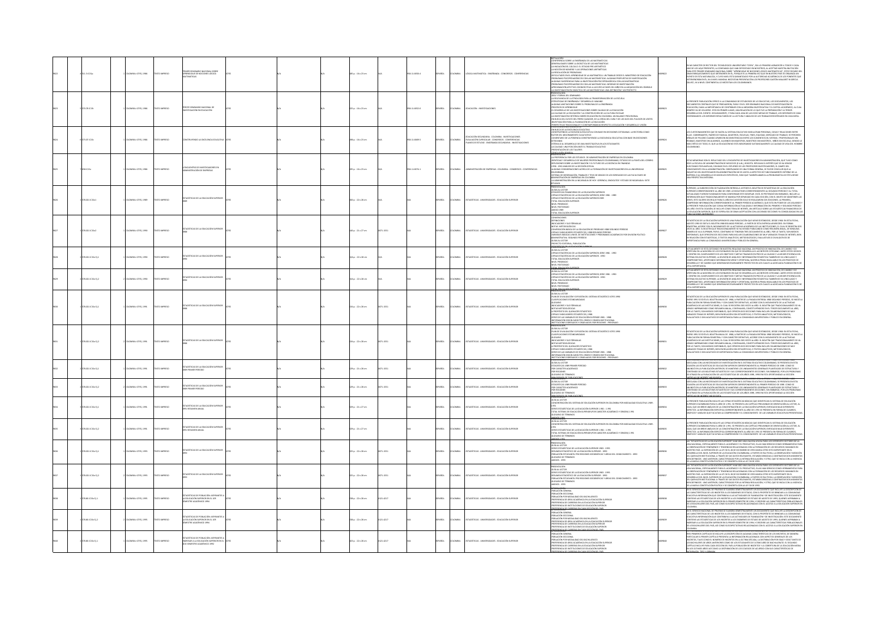|  |                     |                          |                    |                                                                                                        |  |                        |            |                     |       |               |                                                                                                                     | <b>MCTALACIÓN</b>                                                                                                                                                                                                                                                                                                                                                                                                                                                                                                                                                                                                                |      |                                                                                                                                                                                                                                                                                                                                                                                                                                                                                                                                                                                                                                                                                                                      |
|--|---------------------|--------------------------|--------------------|--------------------------------------------------------------------------------------------------------|--|------------------------|------------|---------------------|-------|---------------|---------------------------------------------------------------------------------------------------------------------|----------------------------------------------------------------------------------------------------------------------------------------------------------------------------------------------------------------------------------------------------------------------------------------------------------------------------------------------------------------------------------------------------------------------------------------------------------------------------------------------------------------------------------------------------------------------------------------------------------------------------------|------|----------------------------------------------------------------------------------------------------------------------------------------------------------------------------------------------------------------------------------------------------------------------------------------------------------------------------------------------------------------------------------------------------------------------------------------------------------------------------------------------------------------------------------------------------------------------------------------------------------------------------------------------------------------------------------------------------------------------|
|  |                     | LOMBIA: ICFES, 1986      | O22RRM OT:         | PRIMER SEMINARIO NACIONAL SOBRE<br>APRENDIZAJE DE NOCIONES LÓGICO-<br>MÁTICAS                          |  | 55 p. : 16 x 23 cm     |            | $1 - 0050 - 4$      |       |               | GICA MATEMÁTICA - ENSEÑANZA - CONGRESOS - CONFERENCIA                                                               | FERENCIA SOBRE LA ENSEÑANZA DE LAS MATEMÁTICAS<br>-<br>GENERALDADES SOBRE LA DIDÁCTICA DE LAS MATEMÁTICAS<br>-LA INICIACIÓN DEL CÁLCULO, EL ESTADIO PRE-ARITMÉTICO<br>-LA NOCIÓN DE NÚMERO Y LAS OPERACIONES ARITMÉTICAS<br>LA ROCOÑ DE RIÁNERO I VAS OPRADACIONES ARFINÁTICAS.<br>LA REGIOLICIÓN DE PROBLEMAS — DE LA MASTEMÁTICA, UN TRABAD DESDE EL MINISTERO DE EDUCACIÓN<br>APRICALIDADE PROCEDIANZADO CON LA MASTEMÁTICA. UN TRABAD PROPUESTAS DE MOSTENC<br>LA INVESTIGACIÓN EN DIDÁCTICA DE LAS MATEMÁTICAS: UNA DEFINICIÓN Y UN PROYECTO<br>RECENTACIÓN                                                                 |      | 'n nu cabăcter de rector del teonológico universitario "ceipa", sea lo primero agavdecer a todos y cada<br>Ino de los adqui presative, la confansio que hava depostado en nosotros, al aceptar nuestra initiatoù i<br>Naa este prime<br>EVENTO DE ESTA IMATURALEZA, Y CUVO NIVEL ESTÁ GARANTIZADO POR LA AUTORIDAD ALADEMICA DE LOS PONRINTES QUE<br>INTERVIDURÁN DE ÉL; NI A NIVEL NUMERAL MECSETAN PRESENTACIÓN LOS PROFESORES GASTÓN MINIARET NI GRECIA<br>GÁLVEZ ; NI A                                                                                                                                                                                                                                          |
|  | 20.78 (CLS)         | LOMBIA: ICFES, 1986      | OZSRRM OTI         | er seminario nacional de<br>Stigación en Educación                                                     |  | 125 p. : 16 x 23 cm    |            | 858-11-0052-0       | 680.  | <b>XOMBIA</b> | DUCACIÓN - INVESTIGACIONES                                                                                          | NESIDADE COM ESTADO NA ELECCIDADE EN ELECCIDADE EN ELECCIDADE EN ELECCIDADE EN ELECCIDADE EN ELECCIDADE EN ELECCIDADE EN ELECCIDADE EN ELECCIDADE EN ELECCIDADE EN ELECCIDADE EN ELECCIDADE EN ELECCIDADE EN ELECCIDADE EN EL                                                                                                                                                                                                                                                                                                                                                                                                    | 9823 | A PRESENTE PUBLICACIÓN OFRECE A LA COMUNIDAD DE ESTUDIOSOS DE LO ESUCATARO, LOS DOCUMENTOS, LOS<br>DOCUMENTOS CONTINUES QUE SE PESOULESON, PARA VICHE LA SE SERVANTO DACIONAL DE VIRTITALIZADA EN<br>SERVANTA DE VICA DESE ESTA EN P                                                                                                                                                                                                                                                                                                                                                                                                                                                                                 |
|  | $73.07$ iC15c       | DMBIA: ICFES, 1986       | TO IMPRESO         |                                                                                                        |  | 08 p.: 16 x 23 cm      |            | $4 - 11 - 0069 - 0$ | isa   |               | )<br>Juliación Secundaria - Colombia - investigaciones<br>Janes de Estudio - Enseñanza Secundaria - investigaciones | INVISTIGACIÓN PARA LA PLANSACIÓN DE LA EDUCACIÓN<br>PERSICITANT TRANSCONALESY CONTRAPORÁBIAS RESPECTO A EDUCACIÓN Y DESARBOLLO: VISIÓN<br>PRESINTADAS TAX-ENCARA INF<br>CONSTRUITADO LA DICELENCIA EDUCATA<br>CONSTRUITADO LA DICELENCIA E<br>-SAMEINGHINDEN DE MARGENDEN KONDATION OOR BOR DE DELGENIKS OOTSDONGE DE NACTOR DE<br>EACTOR DE MEIDBAMENTO CUALITATIVO<br>-COMENTARIO DE LA FONENCIA CONSTRUITINDO LA EXEELENCIA EDUCATIVA CON BASE EN DECISIONES<br>COTIDMANAS<br>ESTÍMULO AL DESARROLLO DE UNA INVESTIGATIVA EN LOS ESTUDIANTES<br>LA CALIDAD: UNA POSICIÓN ANTE EL TRABAJO EDUCATIVO<br>VTACIÓN DE LOS TALLERES |      | IS CUESTIONAMENTOS QUE SE HACEN AL SISTEMA EDUCATIVO INVOLUCRAN PERSONAS, COSAS Y RELACIONES ENTRE<br>GAF CARLINDAMINITAN IQUE AF PREMIRA ALI IMPIE KONSTITUU INTOCADEMI PROBATOI, CADINT PREMIROMATIKTI PREMIRIN<br>ÉLIAG : GODERNANTES, PADRES DE FAMILIA, MAESTEDICAT EXIERE LOS ELIXIENTOS DEL SISTEMA : PROFEDENALES SIN<br>ÉRALIS DE<br>AÁS CRÍTICO DE TODO, EL QUE LA EDUCACIÓN NO ESTÁ MEJORANDO SUSTANCIALMENTE LA CAUDIAD DE VIDA DEL HOMBR<br>OLOMBIANO                                                                                                                                                                                                                                                   |
|  |                     | DMBIA: ICFES, 1986       | TO IMPRESO         | LUENTRO DE INVESTIGADORES EN<br>NISTRACIÓN DE EMPRESAS                                                 |  | 195 p. : 16 x 23 cm    |            | 58-11-0074-1        | ula.  | <b>MELA</b>   | INSTRACIÓN DE EMPRESAS - COLOMBIA - CONGRESOS - COI                                                                 | -<br>Presentación<br>La preferencia por los estudios de administración de empresas en colonibia<br>- Igentidad y desarrollo de multres profesionales ocoloribianos, estudio de la punta del icererg<br>-<br>BEFLEXONES SOBRE LA INVESTIGACIÓN Y EL FUTURO DE LA DOCENCIA EN FINANZAS<br>-1858 - 1962 ANÁLISIS DE LA DECISIÓN DIFICAL<br>-ALGUNAS CONSIDERACIONES ACERCA DE LA FORMACIÓN DE INVESTIGADORES EN LA UNIVERSIDAD                                                                                                                                                                                                      |      | MEMORIAS SON EL RESULTADO DEL V ENCUENTRO DE INVESTIGADORES EN ADMINISTRACIÓN, QUE TUVO COMO<br>NAMO MONIMISMO ANNI NINGIDI ANNO CONSUMENTO DE MONDERNO DE LA MENORIA DEL CONSUMENTO DE LA MINISMA CON BART EN EL ESTRESO DE LA MINISMA CON BART EN EL ESTRESO DE LA MINISMA CON BART EN EL ESTRESO DE LA MINISMA CON BART EN                                                                                                                                                                                                                                                                                                                                                                                        |
|  | 0211C15e1           | CIMBLA: ICFES, 1989      | O22RRM OT:         | DÍSTICAS DE LA EDUCACIÓN SUPERIOR                                                                      |  | 00 p. : 22 x 28 cm     |            |                     |       |               | ADÍSTICAS - UNIVERSIDADES - EDUCACIÓN SUPERIO                                                                       | esticions<br>-Geïas al Lector<br>-Geïas al Lector<br>-Giras estadísticas de la Educación Superior, Serie 1981 - 1989<br>-Giras estadísticas de la Educación Superior, Serie 1981 - 1989<br>NAMES TRANSPORTER DE LA EDUCACIÓN SUPERIOR 1989<br>- CIFRAS ESTADÉSTICAS DE LA EDUCACIÓN SUPERIOR 1989<br>- NIVEL PREGRADO<br>- NIVEL POSTGRADO<br>- NIERO 1989<br>TOTAL EDUCACIÓN SUPERIOR                                                                                                                                                                                                                                           |      | onnainma un un mondonnaire que mente de les mateixants en les mateixants i des mateixants en la explicación<br>Euperde, la subdrección de publicación entrega a ustitorese desetín de estadísticas de la educación<br>Euperde, corre<br>séries; esto quiere decir que para el año en cliestión solo se realizaron dos edidiones; la primera,<br>confrenter incoramicon correspondente al primer períoda académico, qui está en poder de los usuarids<br>la presente publicac<br>del Año. En esta ocasión, se incluir como tema de interés, un artículo sobre las estadísticas financieras de<br>La educación superior, que se espera sea de gran aceptación con las demás secciones ya consolidadas en las<br>Rubull |
|  | 021101542           | DMBIA: ICFES, 1990       | <b>OZZRRM OT</b>   | VOISTICAS DE LA EDUCACIÓN SUPERIOR                                                                     |  | 40 p. : 21 x 27 cm     | $-1551$    |                     | AÑOL. |               | ADÍSTICAS - UNIVERSIDADES - EDUCACIÓN SUPERIO                                                                       | CONVENCIONES<br>GENIMONIST<br>- MODORES Y SOS FÓMAULAS<br>- CHARGE COMPARENT DE TOUCHOÙ DE PREGRADO DES DES DURIDO PERÍODO<br>- CHARGE INDICADORES ESTADÍSTICA, ÉRE SEGURADO PERÍODO<br>- CHARGE INDICADORES ESTADÍSTICA, ÉRE SEGURADO PERÍODO<br>- CHARGE IN                                                                                                                                                                                                                                                                                                                                                                    |      | IÈTICAS DE LA EDUCACIÓN SUPERIOR ES UNA PUBLICACIÓN QUE VIENE EDITÁNDOSE, DESDE 1968. EN ESTA FECHA,<br>TO 1990 SE EDITA EL BOLETÍN 1988 SEGUNDO PERÍODO , A PARTIR DE ESTA ENTREGA APARECERÁ. EN FORMA<br>MINORIO ERRORI KANDER MAARIN ERIKE IN GONGO VERKOOL, AFFANIK AL SI IN SINTRUSTANSI EAN VAN SEGESTRA DOS<br>VEDES HA NÃO: IN GOLTÊN QUIT TRADICIONAMENTE SE HA VENTADAD PAULENTAD COMO RESIMENTA HAUA, SE REGISTRA DOS<br>VANADA SE V<br>NYONING A VAPLOUVIDUR, VON KE CONTRONO JA 1 INI INONY VINS DOLOININ NOVA JA VAN JA VAN KANA, JAN MINDIA<br>1957 DISELA (201 OPSECIA DOS SECCIONS PARA INCLUR COLAGORACIONS DE MUY WARADOS TEMAS, DE INTERSE, BIEN<br>EN RELACIÓN CON                              |
|  | 8.021 (C15e E):1    | <b>VIEA: ICFES, 1990</b> | O22RRM OT          | DÍSTICAS DE LA EDUCACIÓN SUPERIOR                                                                      |  | .<br>(A p.: 22 x 28 cm |            |                     |       |               | TADÍSTICAS - UNIVERSIDADES - EDUCACIÓN SUPERIO                                                                      | <b>AESINÍTROEN<sup>CO</sup>-</b><br>GUÍAS AL LECTOR<br>-<br>Corras estadísticas de la educación superior, sere 1981 - 1990<br>Corras estadísticas de la educación superior - 1990<br>Foyal Pregnado<br>Huvil Pregnado<br>IVEL POSTGRADO                                                                                                                                                                                                                                                                                                                                                                                          |      | NCTUALMENTE SE ESTÁ GESTANDO EN NUSETIN REALIGAD INCLODINA UN PROCESO DE INVENIXADO, EN CANNEO TEE.<br>7, DOMEO DE LOMAN MARTINO DE LOS GENERICOS FUESTAS PRODUCEN EN POLITICA (PODE LA CALIGNO FUESTA DE LOS COMENC<br>1007 DE LOCA                                                                                                                                                                                                                                                                                                                                                                                                                                                                                 |
|  | 8.0211015e 0.2      | OMBIA: ICFES, 1990       | <b>CIZERIMI OT</b> | STICAS DE LA EDUCACIÓN SUPERIOR                                                                        |  | .<br>Ap.: 22 x 28 cm   |            |                     | ako.  | <b>MARIA</b>  | SON CAST HIS ANDERS AND CALLERY AND RELEASE                                                                         | totai eniirande:<br>RESENTACIÓN                                                                                                                                                                                                                                                                                                                                                                                                                                                                                                                                                                                                  |      | TUALMENTE SE ESTÀ GESTANDO EN NUESTRA REALIDAD NACIONAL UN PROCESO DE INNOVACIÓN, DE CAMBIO Y DE<br>ERTURA EN LA MAYORÍA DE LOS ESCENARIOS EN QUE SE DESARROLLA EL ACONTECER COTIDIANO. ANTES ESTOS HECHOS<br>Y, DENTRO DEL CUMPLIMIENTO DE LOS GRIETIVOS Y MIETAS TRAZADOS EN PRO DE LA CALIDAD Y LA MEJOR EFICIENCIA DEL<br>SERTEMA EDUCATIVO SUPERIOR, LA DIVISIÓN DE ANÁLEIS E INFORMACIÓN ESTADÉTICA TAMBIÉN ES HA VINCILIADO Y<br>COMPROMITI<br>SARROLLO Y DE CAMBIO QUE GENERAN NECESARIAMENTE PROYECTOS EN LOS CUALES LA ADECUADA PLANEACIÓN ES DE<br>FAL IMPORTANCIA.                                                                                                                                       |
|  | .<br>21 iC15e Ej. 1 | DMBIA: ICFES, 1991       | CC2RRM OT          | STADÍSTICAS DE LA EDUCACIÓN SUPI                                                                       |  | 4 p. : 22 x 28 cm      |            |                     | afini |               | nícticas, i iniversidades, en i cación superior                                                                     | -GUÍAS AL LECTOR<br>-PLAN DE DIVULGACIÓN Y DIFUSIÓN DEL SISTEMA ESTADÍSTICO ICFES 1990<br>-CLASIFICACIONES ESTANDARIZADAS<br>GLOSARIO<br>-INDICADORES Y SUS FÓRMULAS<br>-NOTAS METODOLÓGICAS<br>-NOTAS MAI LUURUUGAS<br>- A PROPÓSITO DEL QUENACER ESTADÍSTICO<br>- CIPRAS E INDICADORES ESTADÍSTICOS, 1998<br>- SIERES DE LAS VARARLES DE EDUCACIÓN SUPERIOR 5981 - 5988<br>- INFORMACIÓN SEGÚN CARÁCTER, ORDEN Y ORGEN INSTITUCIONA                                                                                                                                                                                            |      | estadísticas de la educación superior es una publicación que viene editándose, desde 1968. En esta fecha,<br>Enero 1991 se edita el Boletín Anual de 1988, a partir de la pasada entrega 1988 segundo período, se inicó la<br>.<br>Musicación en forma semestral y con carácter definitivo, acorde con el movimiento de la actividad<br>Académica de las instituciones, el cual se begetar dos veces n. Año. El soltein que tradicionalmente se ha.<br>Venido marimie<br>4 HAILIO KAPANDINIALA VANDI NISIONINIA PAVAL, VAN INVIANOVA, VANNI INDIANOVA NA 1. TANJANOJOJI KARIKO JA MARI<br>1908 LO TANTO, SON MIDRISE, BIEN EN BELACIÓN CON ESTADESTICAS, O TEXTOS ANALINICOS, MITOROGACIONES DE MUI<br>1914 L        |
|  | 18.021 (C15e E) 2   | CIMBIA: ICFES, 1991      | <b>CIZERIMI OT</b> | .<br>Theas be la educación sur                                                                         |  | 134 p. : 22 x 28 cm    | $-1551$    |                     | AROL  | <b>MELA</b>   | ADISTICAS - UNIVERSIDADES - EDUCACIÓN SUPERIO                                                                       | -INGURMALIUM SALAIN CAMALIA, CURIUN TURGAN INSIITULIUMA<br>PRESENTACIÓN<br>PRESENTACIÓN<br>-PLAN DE DIVULGACIÓN Y DIFUSIÓN DEL SETEMA ESTADÍSTICO ICFES 1990<br>-PLAN DE DIVULGACIÓN Y DIFUSIÓN DEL SETEMA ESTADÍSTICO ICFES 1990<br>FAM IS DIVISIONING INTERNALS (STERMA ISTANSITION ISSUE CLASSIFICATION ISSUED AND A CONSIDER THE STERMA IS A CONSIDER THE STERMA IS A CONSIDER THE STEP OF A CONSIDER THE STEP OF A CONSIDER STATE CLASS CONSIDER THE STEP OF<br>STITUCIONES EGRESADOS Y GRADUADOS POR REGIONES - PREG<br>ISBN PICIONES EGRESADOS Y GRADUADOS POR REGIONES - PREG                                            |      | STARTING OF A LICENCE DISTRIBUTE WAS PARTICULAR TO THE MAIN CONTROL COSTAL CONTROL CONTROL CONTROL CONTROL CONTROL CONTROL CONTROL CONTROL CONTROL CONTROL CONTROL CONTROL CONTROL CONTROL CONTROL CONTROL CONTROL CONTROL CO                                                                                                                                                                                                                                                                                                                                                                                                                                                                                        |
|  | 0211C15e EL1        | WELK: ICFES, 1991        | O IMPRESO          | .<br>TICAS DE LA EDUCACIÓN SUPERIOR                                                                    |  | l9 p. : 21 x 28 cm     |            |                     | κkα.  |               | ADÍSTICAS - UNIVERSIDADES - EDUCACIÓN SUPERIO                                                                       | GUÍAS AL LECTOR<br>-<br>ESTADÍSTICAS 1989 PRIMER<br>-POR REGIONES<br><b>VIER PERÍODO</b><br><b>LOSARIO DE TÉRMINOS</b><br><b>PLIGGEASE OF SURIS</b>                                                                                                                                                                                                                                                                                                                                                                                                                                                                              |      | ADA CON LAS NECESIDADES DE INVESTIGACIÓN EN EL SISTEMA EDUCATIVO COLOMBIANO, SE PRESENTA EN ESTA<br>.<br>Kunčió nas estacísticas de equivadón superidr correspondentes al primer período de 1989. Como se<br>Nintrío de los roletines estacísticos y sus correspondentes secciones. Sin emitados de estructura y<br>Nintríodo de los roleti<br>ATRASO EN LA PUBLICACIÓN DE LAS ESTADÍSTICAS DE LOS AÑOS 1989, 1990 EN ESTA OPORTUNIDAD LA SECCIÓN                                                                                                                                                                                                                                                                    |
|  | 021 (C15e E) 2      | MBIA: ICFES, 1991        | TO IMPRESO         | DÍSTICAS DE LA EDUCACIÓN SUPERIOR                                                                      |  | 19 p. : 21 x 28 cm     | $-1551$    |                     | AÑOL  |               | DÍSTICAS - UNIVERS                                                                                                  | ARSENTACION<br>GUÍAS AL LICTOR<br>ESTAGÍSTICAS SIRO PRINER PERÍODO<br>POR REGIONES<br>GUISARIO DE TÉRMINOS                                                                                                                                                                                                                                                                                                                                                                                                                                                                                                                       |      | SE ATRASO DE LA PARLACIÓN DE LA ESTADORTICA DE EDS AROS DE PRESIDENTS CONDIMINADO LA ESCOLA (1992)<br>ANTIGUAL CON LA VIENE DE LA CARCINACIÓN DE LA CASTANCIA DE LA CARCINA CONDIMINACIÓN DE LA CARCINA (1992)<br>ANTIGUAL CON LA VI                                                                                                                                                                                                                                                                                                                                                                                                                                                                                 |
|  | 38.0211C15e Ej.1    | WELK: ICFES, 1991        | O22RRM OT:         | STICAS DE LA EDUCACIÓN SUPERIOR<br>1 RESUMEN ANUAL                                                     |  | 29 p. : 21 x 27 cm     |            |                     | AROL  | CRABLA        | ADÍSTICAS - UNIVERSIDADES - EDUCACIÓN SUPERIOR                                                                      | GUÍA AL LECTOR<br>CONCENTRACIÓN DEL SISTEMA DE EDUCACIÓN SUPERIOR EN COLONIBIA POR MODALIDAD EDUCATIVA 1.989 -<br>1.991<br>-SKRES ESTADÈTICAS DE LA EDUCACIÓN SUPERIOR 1.981 - 1.991<br>-TOTAL SETEMA DE EDUCACIÓN SUPERIOR (POR CARÁCTER ACADÉMICO Y ORIGEN) 1.991<br>-GLOSARIO DE TÉRMINOS                                                                                                                                                                                                                                                                                                                                     |      | .<br>VOORSENTE DUBLICACIÓN INCLUNE LAS CIEDAS ESTADÍSTICAS DÁGICAS QUE IDENTIDICAN EL SISTEMA DE EDUCACIÓN<br>ea Masani i Publicacion incluito da Emparador de Masolino de Leon Individual e do Dentación al Leonardon.<br>Eupreme colonibino para el Año de 1991, se presenta un capítulo preuminar de dentatacíón al lecter, al<br>Equal que un                                                                                                                                                                                                                                                                                                                                                                    |
|  | 8.021 (C15e E) 2    | CIMBIA: ICFES, 1991      | O22RRM OT          | STADÍSTICAS DE LA EDUCACIÓN SUPERIOR<br>1991 RESUMEN ANUAL                                             |  | 19 p. : 21 x 27 cm     |            |                     | AÑOL. | <b>MARLA</b>  | TADÍSTICAS - UNIVERSIDADES - EDUCACIÓN SUPERIOR                                                                     | GIOSMARIO en INNAMILIA -<br>A <b>SECURI, LECTOR</b><br>FORMANI, LECTOR<br>FORMENTRACIÓN DEL SISTEMA DE EDUCACIÓN SUPERIDE EN COLOMBIA POR MODAMINA EXPORTIVA 1.599 -<br>1.991<br>-Series Estadísticas de la educación superidr 1.981 - 1.991<br>-Total Setema de Educación superidr (por carácter académico y origen) 1.991<br>-Glosario de Términos<br>10011201                                                                                                                                                                                                                                                                 |      | a presente publicación incluint las cipais estadísticas básicas que dentifican el sistema de Educación<br>Luperdir cocambinad para el año de 1991. Se poesibilita un capítulo preunava de obientación al lector, al<br>Ciual que un                                                                                                                                                                                                                                                                                                                                                                                                                                                                                  |
|  | 2021 (C15e E) 1     | CIMBLA: ICFES, 1993      | O22RRM OT          | STICAS DE LA EDUCACIÓN SUPERIOR                                                                        |  | 15 p. : 22 x 28 cm     | $1 - 1551$ |                     | xko.  | <b>AIGHA</b>  | MOSTICAS - UNIVERSIDADES - EDUCACIÓN SUPERIO                                                                        | PRESENTACIÓN<br>GUÍA AL LECTOR<br>HAMA ALLECTOR<br>Assistanti extagèntar de la educación superidir 1983 - 1993<br>Assistanti extagènta de la educación superidir - 1993<br>Ádelmado - 1993<br>Ámelos - 1993<br>Ámelos - 1993                                                                                                                                                                                                                                                                                                                                                                                                     |      | JAS "ESTADÓTICAS DE LA EDUCACIÓN SUPEROR" HAN SEO UNA VALIDEA AVUDA PARA LOS DIFERENTES SECTORES DE LA<br>PERÁNDICIPAL - ESPECIMINATIVA PARA A ACADEMACO TA INFORCIONAL ELAS HAN SERIOS COMO HERRAMENTAS FARA-<br>NILESTRO PAÍS, LA                                                                                                                                                                                                                                                                                                                                                                                                                                                                                  |
|  | 0211015012          | CANBLA: ICFES, 1993      | OZBRNI OTI         | ARSTICAS DE LA EDUCACIÓN SUPERIOR                                                                      |  | 5 p. : 22 x 28 cm      | $-1551$    |                     | AROL  | <b>AIGNA</b>  | ADÍSTICAS - UNIVERSIDADES - EDUCACIÓN SUPERIOR                                                                      | -<br>Guía al Lector<br>França Estadísticas de la Educación Superior 1983 - 1993<br>França Estadísticas de la Educación Superior 1984<br>-american information in a liburation submitter that - 1994<br>-Beslimen Estadístico de la educación superidr - 1991<br>-Beslimen Estadístico de la educación superidr - 1991<br>-Boeración - 1993<br>-America - 1993<br>-America - 1993                                                                                                                                                                                                                                                 |      | SIL EQUINGATIONS INTO LODGA A MONO SIN SUS SINTO MALPARIS, SUS MONO SINGLION A LUXI MONO MU UN ANGRESIO.<br>LEN DEFINISTA : UNO ANTRISOR, CARACTERIZADO POR LA INTENSA BEGUACIÓN, Y OTRO, QUE SE INICIA CON LA VIGENCIA<br>LEN DEFIN<br>ESTRO PAÍS. LA DIPEDICIÓN DE LA LEY 30 EL 28 DE DICIEMBRE DE 1992 MARCA OTRO HITO IMPORTANTE EN EL<br>NAMENTATION AN MANTALISM DE NA EN 2014 AU DE MANIMARIS ÉS 1990. MARCA OTRO HITO MAPORTANTE EN EL<br>ESCARROLLO DEL NIVEL SUPERIOR DE LA EDUCACIÓN COLOMBIANA. A PARTIR DE ESA FECHA, LA DISERTACIÓN Y MEDICIÓN.<br>ER DEFINIDES: UNO                                                                                                                                   |
|  | 18.86 IC15e Ej.1    | VIEW ICFES, 1995         | O IMPRESO          | DÍSTICAS DE POBLACIÓN: ASPIRANTES A<br>XUCACIÓN SUPERIOR EN EL 1ER<br>ISTRE ACADÉMICO 1994             |  | 18 p. : 22 x 28 cm     | $-0.17$    |                     | AÑOL. |               | STICAS - UNIV                                                                                                       | INTRUGULUM<br>POBLACIÓN GENERAL<br>POBLACIÓN SECCIONAL<br>"<br>"FORLACIÓN FOR MODALIDAD DEL BACHILERATO<br>"PREFERINCIA DE ÁREA ACADÉMICA EN LA EDUCACIÓN SUPERIOR<br>"PREFERINCIA DE INSTITUCIONES DE EDUCACIÓN SUPERIOR<br>"PREFERINCIA DE INSTITUCIONES DE EDUCACIÓN SUPERIOR<br>"PREFERINCIA DE INS<br><b>ECODY LA DE FADOTE</b>                                                                                                                                                                                                                                                                                             |      | ul la nulva constitución politica y se concisita con la ley au ul sing.<br>In el servició nacional de priebas se elabora senestralmente un documento que inclu<br>Las cabacterísticas de los inscritos a los diámenes de estado, con<br>ANI AMPAILMANTA DE ANI HIMANI ANA MANI AMPAINA DE MINARCA DE MAI PAPAPAID DE MISSISSACHE. ESTE DECUMENTO<br>CONTATIVA INFORMACIÓN QUE CONTRIBUINA A LAS ACTIVIDADES DE FAMINACIÓN Y DE HANSTIDACIÓN. ESTE DECUMENTO<br>INGIDERIE LAS                                                                                                                                                                                                                                         |
|  | 8.86 IC15e Ej.2     | MBIA: ICFES, 1995        | TO IMPRESO         | <b>ISTICAS DE POBLACIÓN: ASPIRANTES.</b><br>LA EDUCACIÓN SUPERIOR EN EL 1ER<br>SEMESTRE ACADÉMICO 1994 |  | 18 p. : 22 x 28 cm     | $-4217$    |                     |       |               | ADÍSTICAS - UNIVERSIDADES - EDUCACIÓN SUPERIOR                                                                      | <b>STANDOLUM THE SERVE AND STANDARD AND STANDARD PORTACION CORRENT AND STANDARD STANDARD STANDARD STANDARD STANDARD STANDARD STANDARD STANDARD STANDARD STANDARD STANDARD STANDARD STANDARD STANDARD STANDARD STANDARD STANDARD </b><br>is cu cana strinifei noi o.                                                                                                                                                                                                                                                                                                                                                              |      | AN IL ANNOLDI MAGINALE DE MOLINDO SA LOGIADA MARIO PARA MANUAR UN LOCARO DE MOLIN LA AN COMUNIDAD.<br>LAS CARACTERÍSTICAS DE LOS IMIGORIOS A LOS EXAMINISTOS ESTADO, CON EL PROPÓDITO DE BRIBINA A LA COMUNIDAD:<br>ÉDICICIONA NATOR                                                                                                                                                                                                                                                                                                                                                                                                                                                                                 |
|  | $18.86$ iC15e Ej.1  | WALK-ICFES, 1995         | TO IMPRESO         | STICAS DE POBLACIÓN: ASPIRANTES A<br>ESAR A LA EDUCACIÓN SUPERIOR EN :<br>LEMESTRE ACADÉMICO 1992      |  | 61 p. : 22 x 28 cm     |            |                     |       | CAIRLA        |                                                                                                                     | <b>MTARMONIMA<br/>POBLACIÓN SECIONAL<br/>POBLACIÓN SECIONAL<br/>PREFERINCIA DE MODALIDAD DEL BACHELERATO<br/>PREFERINCIA DE CARRIBAS EN LA EDUCACIÓN SUPERIOR<br/>PREFERINCIA DE CARRIBAS EN LA EDUCACIÓN SUPERIOR</b><br>FERENCIA DE INSTITUCIONES DE EDUCACIÓN SUPERIOR                                                                                                                                                                                                                                                                                                                                                        |      | <b>PERFORMATION CONTINUES IN A CONSIDERATION OF MUSICAL CONTINUES CONSIDERATION CONTINUES IN ANNOUNCE AND CONSIDER</b><br>THIS PROMING CARRINGS AT INCLUST A DISCUSSION AND AN ALGORATE DISTINCTANT OF LOS MOSTIFICS, DE MANURA AND CO<br>IN LOS ÚLTIMOS AÑOS ASÍ COMO LA DISTRIBUCIÓN DE LOS COLEGIOS DE ACUERDO CON SUS CARACTERÍSTICAS DE<br>TIRO Y IOBNADA CONTRA CONTRA EL CONTRADO DE CONTRADO DE CONTRADO EL CONTRADO DE CONTRADO DE CONTRADO DE CONTRADO EL CONTRADO DE CONTRADO DE CONTRADO DE CONTRADO DE CONTRADO DE CONTRADO DE CONTRADO DE CONTRADO DE CONTRADO D                                                                                                                                       |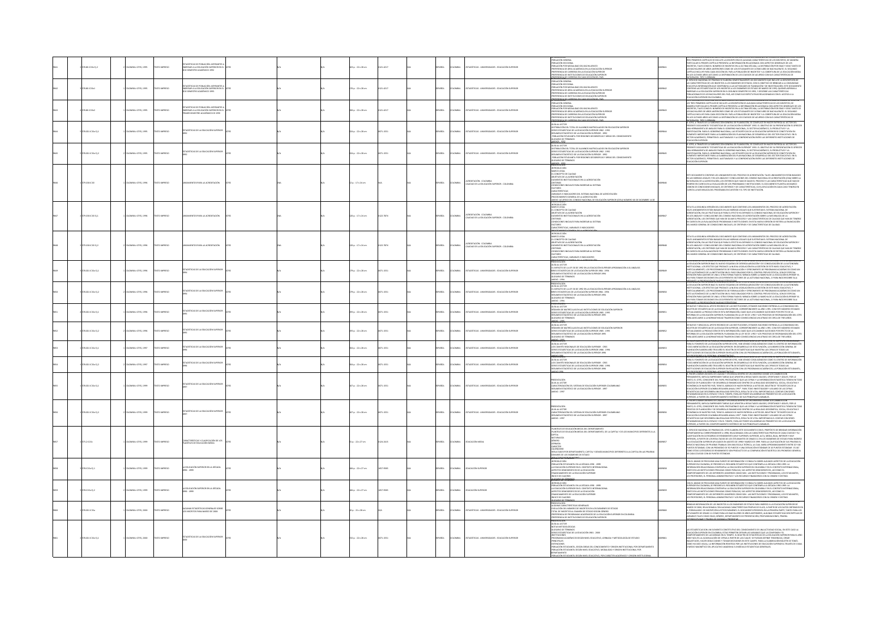|  | is icise Ei 2    | ABLA: ICFES, 1995<br><b>CIZERIN</b> C       | .<br>STICAS DE POBLACIÓN: ASPIRANTES<br>JAR A LA EDITICACIÓN STRERIOR EN<br>C SEMESTRE ACADEMICO 1992        |  | $n: 22 + 28$ cm        |             |               |                 | CREAS - INVESTIGATION - ENVIOUSNO DIREBOS                              | INMUNUMENT<br>OBLACIÓN SEGIDINAL<br>OBLACIÓN FOR MODAILLINO DEL BACHILLERATO<br>OBLACIÓN FOR MODAILLINO DEL BACHILLERATO<br>REFERINCIA DE CARRERAS EN LA EDUCACIÓN SUPERIOR<br>REFERINCIA DE CARRERAS EN LA EDUCACIÓN SUPERIOR<br>REFERINCIA DE                                                                                                                                                                                                                                                                                                                          |             | <b>A MONDEY CONSULTANT CONTINUES AND REPORT OF A DISCREPANT CONTINUES AND AN INTERFERING A CONSULTANT CONTINUES AN<br/>COLOR III, PRODUCT CONTINUES AND RESIDENCE A DISCREPANT OF A MONDER CON AGREETING ARRIVERS CONTINUES. THE CO</b>                                                                                                                                                                                                                                                                                                                                          |
|--|------------------|---------------------------------------------|--------------------------------------------------------------------------------------------------------------|--|------------------------|-------------|---------------|-----------------|------------------------------------------------------------------------|--------------------------------------------------------------------------------------------------------------------------------------------------------------------------------------------------------------------------------------------------------------------------------------------------------------------------------------------------------------------------------------------------------------------------------------------------------------------------------------------------------------------------------------------------------------------------|-------------|----------------------------------------------------------------------------------------------------------------------------------------------------------------------------------------------------------------------------------------------------------------------------------------------------------------------------------------------------------------------------------------------------------------------------------------------------------------------------------------------------------------------------------------------------------------------------------|
|  | 28.86 IC15e1     | 2002 JUNEAU AURAN<br><b>OZZRRANI O</b>      | <b>ISTICAS DE POBLACIÓN: ASPIRANTES</b><br>RESAR A LA EDUCACIÓN SUPERIOR EN EL<br>SEMESTRE ACADÉMICO 1993    |  | 76 p. : 22 x 28 cm     | 21-4217     | <b>SPAÑOL</b> | <b>AIGNOJC</b>  | AND MODAGE UNIVERSIDADES - EDUCACIÓN SUPERIOR                          | 39200405<br>udicium<br>Lación General<br>Lación For Modalidad del Bachillerato<br>Fación For Modalidad del Bachillerato<br>Ferencia de Instituciones de Educación Superior<br>Ferencia de Instituciones de Educación Superior<br>Ferencia de Instituciones d                                                                                                                                                                                                                                                                                                             |             | NATINALEMA. TRAT V KRIMAN<br>LK SERAKCIO PAKOONAL DE PRUEBAS SE ELABORA SEMESTRALMENTE UN DOCUMENTO QUE INCLUISE LA DESCRIPCIÓN DE<br>LK SERVICIO PAKOONAL DE LOS INSCRITOS A LOS EXÁMINIS ES ESTADO, CON EL OBJETIVO DE BRINOVA A L<br>onominy memomentative Leau Himistan a los allemantas de Fambación y de Investigación. Este documentative que<br>Dominist las estadísticas de los inscritos a los exámines de estado de Marzo de 1990, quienes agriban a<br>Krissar a                                                                                                     |
|  | 8.86 IC15e2      | ABIA: ICFES, 1995<br>MPRESO                 | <b>ISTICAS DE POBLACIÓN: ASPIRANTES</b><br>SAR A LA EDUCACIÓN SUPERIOR EN E<br>ER SEMESTRE ACADÉMICO DE 1993 |  | 06 p. : 22 x 28 cm     | $1 - 017$   | <b>PAÑOL</b>  | <b>CRABLA</b>   | TADÍSTICAS - UNIVERSIDADES - EDUCACIÓN SUPERIOR                        | .<br>Delación general<br>Delación seccional<br>-UMAINAN ANNUMEN<br>PREFERENCIA DE AREA ACADÉMICA EN LA EDUCACIÓN SUPERIOR<br>PREFERENCIA DE CARRERAS EN LA EDUCACIÓN SUPERIOR<br>PREFERENCIA DE CARRERAS EN LA EDUCACIÓN SUPERIOR<br>ERENCIA DE INSTITUCIONES DE EDUCACIÓN SUPERIOR<br>conscia no caporoas es cana secrete nei país                                                                                                                                                                                                                                      |             | kate didentificative continuir del latinoni non din voli pubbituata cale dovini ma se l'atamo de nonado de l'h<br>Los Tres Primeros Capítulos se incluir la disconfición de algunas capacterísticas de los ingentos; de<br>Manera Pa<br>MANIMA MANIKULANIA ILI MONIMA LAMI ULU MISAIN NA ANIMO MOMALINI NI LOCALI MILI MANICI ILI GANIMANIA DUI LUO<br>NECRITOS, TALES COMO EL NUMERO DE INSCRITOS EN LA ÚLTIMA DÉCADA, LA DISTRIBUCIÓN POR IDAD Y SERO TANTO DE<br>LOS BACH                                                                                                     |
|  | 21 (C15e E).1    | MPRESO                                      | STICKS DE LA EDUCACIÓN SUPERIOR                                                                              |  | $p: 22 \times 28$ cm   | 11-1551     | <b>PAÑOL</b>  | CMELA           | ADISTICAS - UNIVERSIDADES - EDUCACIÓN SUPERIOR                         | NOMMA ANNO NOTOMA DE ALUMINOS MATRICULADOS EN EDUCACIÓN SUPERIOR<br>ERIS ESTADOSTICAS DE AS EDUCACIÓN SUPERIOR 1980 - 1992<br>ESSANDI ESTADOSTICO DE LA EDUCACIÓN SUPERIOR - 1992<br>OSMADÓN ESTILORIANTES<br>ADSARDO DE TÉRMINOS<br>ADSARDO<br>105, 122                                                                                                                                                                                                                                                                                                                 |             | ATHRAI CPA. THO Y KORNADA.<br>I KEFES, A TRAVÊS DE LA SUBDIRECCIÓN GENERAL DE PLANEACIÓN, SE COMPLACE EN HACER ENTREGA AL LECTOR DEL .<br>HA UNIÇA IN DIVISIONALE DE MARINALE DE LA DIVISIONALE DE LA COMPUNA DEL DISTINGUISTA DE LA CONSTANTACIÓN EL CO<br>JAN MARINALE DE LA MARINA DE LA COLOCIÓN SUPRACA E DEL CALIFICA DE LA PRODUCTIVA Y LA MARINALE DE LA CONSTANT<br>J                                                                                                                                                                                                   |
|  | 0.02110356632    | <b>DOOR STEP ARMS</b><br>m weeron           |                                                                                                              |  | MA 122 x 28 cm         | 1221.15     | <b>JORAS</b>  | <b>AIRMOJ</b>   | .<br>Chankticas - Helvepsinanes - en Icación superior                  | PRIMINALISMO<br>GRÁMA LECTOR<br>4506 AS ESTADÉRICAS DE LA EDUCACIÓN SUPERIOLAROS EN EDUCACIÓN SUPERIOR<br>45005 ESTADÉRICAS DE LA EDUCACIÓN SUPERIOR 1692 - 1692<br>45006 ESTADÉRICAS DE LA EDUCACIÓN SUPERIOR - 1692<br>GOBALADOR ESTADANTE                                                                                                                                                                                                                                                                                                                             |             |                                                                                                                                                                                                                                                                                                                                                                                                                                                                                                                                                                                  |
|  | 15810151         | MILA: ICFES, 1996<br>OZBRRA OT              | 35 PARA LA ACREDITACIÓN                                                                                      |  | $p. : 17 \times 36$ cm |             | SPAÑOL        | <b>DLOMBIA</b>  | KEREDITACIÓN - COLOMBIA<br>CALIDAD DE LA EDUCACIÓN SUPERIOR - COLOMBIA | vente, 1992<br>Esentación<br>Itroducción<br>COLLEAL<br>.CO lasaria<br>Oncepto de Calidad<br>Etivos de la acreditación<br>Mentos institucionales en la acreditación<br>LAMANIMI<br>ZONDICIONES INICIALES PARA INGRESAR AL SISTEMA<br>JACTORES<br>CARACTERÍSTICAS<br><sup>CARAC</sup> TERÍSTICAS<br><sup>CARAC</sup> TERÍSTICAS<br>vancibreicas<br>Vanales e indicadores del sistema nacional de acreditación<br>Vede acuerdo del conseio nacional de educación superior (CESU) número de de diciembre sa<br>Neix-Acuerdo del Conseio nacional de educación superior (CESU |             | INTIDIAL LOS UNICAMIENTOS DEL DROCESO DE ACREDITACIÓN, TALES UNICAMIENTOS ESTÁN BASADO<br>ISIN IN DUCUMININ UCHINININ LUG ANIMANIS UN SILI PARCIADO IN ACANTAMICANO MAIS DINIMANIN (IGLIAM MANAUDICALIS)<br>UN LAS NORMAS LEGALES Y DI LOS ANÁLISES Y CONCLUSIONES DEL CONSEDO NACIONAL DE ACASENTACIÓN (IGNA) SOBRE LA<br>INT                                                                                                                                                                                                                                                   |
|  | 5810151511       | MBIA: ICFES, 1996<br><b>OZZRRM</b> C        | <b>S PARA LA ACRED</b>                                                                                       |  | 0 p. : 17 x 24 cm      | 22-2874     | <b>JOAN</b>   | <b>AIGMAN</b>   | hceschtachón - colonnia<br>Calidad de la educación superior - colonnia | NERINGSON<br>MTRODUCCIÓN<br>MARCO LEGAL<br>IL CONCEPTO DE CALIDAD<br>TIVOS DE LA ACREDITACIÓN<br>ELEMENTOS INSTITUCIONALES EN LA ACREDITACIÓN<br>CRITERIOS<br>CONDICIONES INICIALES PARA INGRESAR AL SISTEMA<br>CTORES<br>RACTERÍSTICAS, VARIABLES E INDICADORES                                                                                                                                                                                                                                                                                                         |             | ESTA EL LA SEGUNDA VERSÓN OGLOGOJMENTO QUE CONTRINE LOS UNEAMENTOS DEL PROCESO DE ACEESTACIÓN.<br>MALETALINEANO PER OS ENÍA DASADES DE LAS MORIMAS LEGISLES DE ASSINTANTA EL SENSIA MALEDANCA (MA USINEGO TESTA<br>PEL LOS ANÁUES Y<br>MARCO GENERAL DE CONDICIONES INICIALES, DE CRITERIOS Y DE CARACTERÍSTICAS DE CALIDAD.                                                                                                                                                                                                                                                     |
|  | usa icusi ci 2   | 2002 JUNEAU ARMO<br><b>CIZERIA OT</b>       | MIENTOS PARA LA ACREDITACIÓN                                                                                 |  | 20 p. : 17 x 24 cm     | 122-7874    | <b>JOANS</b>  | <b>CRABLA</b>   | CREDITACIÓN - COLOMBIA<br>AIRMOUD - ROIRDICACIÓN SUPERIOR - COLOMBIA   | MTRODUCCIÓN<br>AARCO LEGAL<br>VALU senen<br>CONSEPTO DE CAUDAD<br>IETIVOS DE LA ACREDITACIÓN<br>EMENTOS INSTITUCIONALES EN LA ACREDITACIÓN<br>ZOB3TI<br>us<br>IONES INCIALES PARA INGRESAR AL SISTEMA<br>MCTERÍSTICAS, VARIABLES E INDICADORES                                                                                                                                                                                                                                                                                                                           |             | STA ES LA SEGUNDA VERSIÓN DEL DOCUMENTO QUE CONTIENE LOS LINEAMENTOS DEL PROCESO DE ACREDITACIÓN.<br>TALES LINEAMIENTOS ESTÁN BASADOS EN LAS NORMAS LEGALES QUE SUSTENTAN EL SISTEMA NACIONAL DE<br>ACERDITADÓN, EN LAS POLÍTICAS QUE PARA EL EFECTO HA DEFINIDO EL CONSEDO NACIONAL DE EXUCACIÓN SUPERIOR Y<br>EN LOS ANÁLISEY CONCLUSIO<br>UX PROGRAM I CARRICOLORINAL UNIC CARRICO PROGRAMO VICINARIO POLITICA PROVISIONALIZA NA LIMITO DE INFERIOR.<br>USTRADOR, LOS CRITIFICON EX PROGRAMAS E INSTITUCIONES. EN ESTA NUEVA VISBO DA SE REITRA QUE HAN DE TENERSE.<br>UNACIO |
|  | 0211015e B.1     | MBIA: ICFES, 1996<br>COSSIMUS CO            | TICAS DE LA EDUCACIÓN S                                                                                      |  | 9 a. : 22 x 28 cm      | 1221.15     | PAÑOL         | CRABLA          | <b>ADISTICAS - INNUSSIDADES - EDITCACIÓN SUBSIDIO</b>                  | MOOSTAN NATION<br>RESERVIACIÓN<br>RESERVACIÓN<br>IL MAPACTO DE LA LEV 30 DE 1992 EN LA EDUCACIÓN SUPERIOR APROXIMACIÓN A SU ANÁLISE<br>DRIES ESTADÉTICAS DE LA EDUCACIÓN SUPERIOR 1994<br>DRIES ESTADÉTICAS DE LA EDUCACIÓN SUPERIOR 1994 - 1<br>AND ADJARDETICAE DE LA EDUCATIÓN SUPERIO 1518-1594<br>SEUMEN ESTADÉSTICO DE LA EDUCATIÓN SUPERIOR 1694 - 1694<br>OSARIO DE TÉRMINOS<br>TENTATIONALES<br>TENTATION                                                                                                                                                       |             | AUR AND AU LA UNIVERNA IN VIENINA DE LA ALF AFUI L'INSULTADA POR EL CONTROLPO POR LA CANDIDATION DE LA AUTORI<br>EDUCACIÓN SUPERIOR BAJO EL NUEVO ESQUEMA DE CESBEGULARIZACIÓN Y DE CONSOLUNCIÓN DE LA AUTORIOMÍA<br>ETITUCIONAL : L<br>ición para cultines de una u otra forma fiuan su mirada sobre la marcha de la educación superior ya.<br>Para tomar decisiones en los diferentes sectores de la actividad nacional, o para incidir sobre ella                                                                                                                             |
|  | 021015012        | 2002 JUNEAU ARMO<br><b>OZZRRM O</b>         | ADÍSTICAS DE LA EDUCACIÓN SUPERIOR                                                                           |  | 9 p. : 22 x 28 cm      | 71-1551     | <b>JOAN</b>   | <b>LOMBIA</b>   | STADISTICAS - UNIVERSIDADES - EDUCACIÓN SUPERIOR                       |                                                                                                                                                                                                                                                                                                                                                                                                                                                                                                                                                                          |             | <mark>touriella apoptanicán de Mignassista etropés</mark> , un l'arca de acalitat un attanda da plus de la colporació el<br>Educación superior qajo el Nuevo esquena de desregularización y de consolidación de la Autonomía.<br>Itticulormente,<br>DHI MARAMA, LEO FERTOS (SUS PRODUCE LA MAISVA MEDIGALCHÓ) EN LA GESTIÓN DE ESTE HAVAL ESDECATRO, Y<br>EN CULARMENTE, LOS PROCESMISSITOS DE FORMULACIÓN Y ORIECIMISTIO DE PROGRAMAS ACADÉMICOS COMO UN<br>TO AUTOMÓMICO DE LA MISITIO                                                                                         |
|  | 0211C15e EL1     | WELK: ICFES, 1996<br><b>CIZERIN</b> C       | DÍSTICAS DE LA EDUCACIÓN SUPERIOR                                                                            |  | $a_0$ : 22 x 28 cm     | $71 - 1551$ | <b>JOAN</b>   | <b>AIGMON</b>   | ADISTICAS - UNIVERSIDADES - EDUCACIÓN SUPERIOR                         | A AL LECTOR<br>INEN DE MATRÍCULAS EN LAS INSTITUCIONES DE EDUCACIÓN SUPERIOR<br>EMMEN DE MARINANA EN LA FRETTANYA DE 1985 - 1995<br>ERES ESTADÍSTICAS DE LA EDUCACIÓN SUPERIOR 1985 - 1995<br>.<br>MAIN ESTADÍSTICO DE LA EDUCACIÓN SUPERIOR 1995<br>SARIO DE TÉRMINOS<br><b>SENTACIÓN</b>                                                                                                                                                                                                                                                                               |             | METALETT I ADENDERATIVA EN METALECTER ENTZAK<br>SELVENIO Y GRADANCA AL APONO RECORDO DE LAS INSTITUCIONES, ESTANDOS HACENDO ENTREGA A LA COMUNIDAD DEL<br>AS INURIOR DE ARCADECAS EN LA EUROCIÓN SURFADO, CORRESPONDENTA AL ÁRIO 189                                                                                                                                                                                                                                                                                                                                             |
|  | 8.021 (C15e E) 2 | DMBIA: ICFES, 1996<br><b>OZZRRM OT</b>      | .<br>Koncas ne i a eniicación silocolog                                                                      |  | 12 p. : 22 x 28 cm     | 71-1551     | <b>JOAN</b>   | <b>AIGMON</b>   | STADISTICKS - UNIVERSIDADES - EDUCACIÓN SUPERIOR                       | suía al lector<br>Kégmen de Matríoulas en las instituciones de educación superior.<br>IGINIUM DIL MATHICULAS UN LAS INSITTUCIONES DE EDUCACI<br>RIES ESTADÈSTICAS DE LA EDUCACIÓN SUPERIOR 1985 - 1995<br>ISUNIEN ESTADÈSTICO DE LA EDUCACIÓN SUPERIOR 1995<br>LOSARIO DE TÉRMINOS                                                                                                                                                                                                                                                                                       |             | UIVO Y GRACIAS AL APOVO RECIBIDO DE LAS INSTITUCIONES, ESTAVIOS HACIENDO ENTREGA A LA COMUNIONO DEL<br>TÍN ER ESTADÈTICAS DE LA EDUCACIÓN SUPPRISOR, CORRESPONDIBUTE AL AÑO 1.995. CON ESTE NÚMBO ESTAVIOS<br>NUZANDO LA PRODUCCIÓN<br>rran de la educación superior, plagmada en la ley 30 de 1.992 y los procesos de regisanización del ICFES<br>Rran de la educación superior, plagmada en la ley 30 de 1.992 y los procesos de regisanización del ICFES<br>A recularse<br>.<br>FEMANYO DE DO FEMADOR CONSAGRADA EN EL ARTICULO JE DE LA LET JUDE 1992. EL INSTITUTO COLONIE  |
|  | <b>OTHER</b> ELL | TOOL STEP AND<br>n weeron                   | STICAS DE LA EDUCACIÓN SUPERIOR                                                                              |  | 40.2242                | 71.9551     | <b>DARK</b>   | CARRIA          | .<br>CTANKTICAS - INIMERSINADES - EN ICACIÓN SIBERIN                   | MINIMUMON<br>2004 AL LECTOR<br>2004 AL LECTOR GEGIONALES DE EDUCACIÓN SUPERIOR - CRES<br>2002S ESTADÍSTICAS DE LA EDUCACIÓN SUPERIOR 1986 - 1996<br>UMEN ESTADÉSTICO DE LA EDUCACIÓN SUPERIOR 1996                                                                                                                                                                                                                                                                                                                                                                       |             | vinamparminto de la tenelación suprimentar estas han venda de vinas industriales estas interior canoniminto.<br>Roa el fontento de la tenelación suprimenta esta han venda cosolidándose cono el centro de información.<br>Lantación<br>VICIONES DE EDUCACIÓN SUPERIOR EN RELACIÓN CON LOS PROGRAMAS ACADÉMICOS. LA POBLACIÓN ESTUDIANTIL<br>VICIONES DE EDUCACIÓN SUPERIOR EN RELACIÓN CON LOS PROGRAMAS ACADÉMICOS. LA POBLACIÓN ESTUDIANTIL                                                                                                                                   |
|  | 021 (C15e E) 2   | MBIA: ICFES, 1997<br><b>CIZERIN</b> C       | DÍSTICAS DE LA EDUCACIÓN SUPERIOR                                                                            |  | 4 p. : 22 x 28 cm      | $1 - 1551$  | <b>PAÑOL</b>  | <b>CRABLA</b>   | TADÍSTICAS - UNIVERSIDADES - EDUCACIÓN SUPERIOR                        | NEWS 1996<br>RSENTACION<br>RIFA AL LECTOR<br>THE REGIONALES DE EDUCACIÓN SUPERIOR - CRES<br>ES ESTADÍSTICAS DE LA EDUCACIÓN SUPERIOR 1986 - 1996<br>UMEN ESTADÍSTICO DE LA EDUCACIÓN SUPERIOR 1996                                                                                                                                                                                                                                                                                                                                                                       |             |                                                                                                                                                                                                                                                                                                                                                                                                                                                                                                                                                                                  |
|  | 8.021 (C15e E):1 | DMBIA: ICFES, 1999<br>OZZRRM O'             | <b>ISTICAS DE LA EDUCACIÓN SUPERIOR</b>                                                                      |  | 67 p. : 22 x 28 cm     | 371-1551    | <b>DAG</b>    | <b>AIGMOJC</b>  | TADÍSTICAS - UNIVERSIDADES - EDUCACIÓN SUPERIO                         | MASINI MULIN<br>GURA EL LECTOR<br>RARACTERIZACIÓN DEL SISTEMA DE EDUCACIÓN SUPERIDR COLOMBIANO<br>RESUMEN ESTADÍSTICO DE LA EDUCACIÓN SUPERIDR - 1997<br>SLIMEN EST.<br>EXD - 1997                                                                                                                                                                                                                                                                                                                                                                                       |             | FAND, A 4741, CONCENTRAL PAPA PROTAGING QUI AL CHE PARTIN VA ANTERIMAÇÃO E TENENTRAL PARTIES CON CONTRAL PARTIES CONTRAL PARTIES CONTRAL PARTIES CONTRAL PARTIES CONTRAL PARTIES CONTRAL PARTIES CONTRAL PARTIES CONTRAL PART                                                                                                                                                                                                                                                                                                                                                    |
|  | 8.021 (C15e E) 2 | WALA: ICFES, 1999<br><b>IMPRESO</b>         | <b>ISTICAS DE LA EDUCACIÓN SUPERIOR</b>                                                                      |  | £7 p. : 22 x 28 cm     |             | <b>DAGI</b>   | <b>LOMBIA</b>   | MOÍSTICAS - UNIVERSIDADES - EDUCACIÓN SUPERIO                          | NTACIÓN<br>MIAIN (HIMH)<br>SUA AL LECTOR<br>DARACTERIZACIÓN DEL SISTEMA DE EDUCACIÓN SUPERIOR COLOMBIANO<br>RESUMEN ESTADÍSTICO DE LA EDUCACIÓN SUPERIOR - 1997<br>VEND - 1997                                                                                                                                                                                                                                                                                                                                                                                           |             | NOCESO DE PUNKACIÓN Y DE DESARROLLO ENMARCADO DENTRO DE LA REALIDAD GEOGRÁFICA, SOCIAL, EDUCATIVA Y<br>CONÓMECA DE NUNETRO PAÍS, TIENE EL AGRADO DE IMENER ENTREGIA A LISTED DEL BOLETÍN DE "ESTADÉRICAS DE LA<br>DUCACIÓN SUPERIOR<br>lisioni adhana dodonna nadana-parantera (para-mao imila indonenta do do mao parantera)<br>Nortica que describir una islaudad específica, resulta de vital indortancia el contar con series<br>Nortica que describir una islaudad esp                                                                                                      |
|  | $73.2$ (C15c)    | COMBIA: ICFES, 1999<br>OZBRNI OTI           | ARACTERÍSTICAS Y CLASIFICACIÓN DE LOS<br>LANTELES DE EDUCACIÓN MEDIA                                         |  | $1a:22 \times 27$ cm   | 262415      | <b>SPAÑOL</b> | <b>COLOMBIA</b> | DUCACIÓN MEDIA                                                         | MILIMINIUM<br>HANTELES DE EDUCACIÓN MEDIA DEL DEPARTAMENTO<br>HANTELES DE EDUCACIÓN MEDIA DEL DEPARTAMENTO, DE LA CAPITAL Y DE LOS MUNICIPIOS DIFERENTES A LA<br><b>WITAL</b><br>GENERO<br>GENERO<br>GRACTER<br>GARÁCTER<br>LENDARIO<br>Sultados por Departamento, canital y Demás municipios diferentes a la capital en las pruebas<br>Nunis de los exámenes de estado<br>Nu <b>nici de Turninus</b>                                                                                                                                                                    |             | SERVICIO NACIONAL DE RRHEBAS DEL VEES ELABORA ESTE DOCHMENTO CON EL RROBÓSITO DE RRNDAR INCORMACIÓN<br>N. 2000 CM MONEMA CONTROL EN COMPANYA EN COMPANYA EL COMPANYA EN CONTROL EN EN CARDINAL EN CONTROL EN CONTROL E<br>CASAR CADO NA CATACIÓN EN EN ENGAGEMENT DENTINANTA EL CARDO DE ALTA, MEZA, BAJA, MESA EN LA VITA EL CARDO DE<br>C<br>CADA COLEGIO CON 60 PUNTOS ESTÁNDAR.                                                                                                                                                                                              |
|  | 28 IC15e EL1     | COMBIA: ICFES, 1999<br>CO IMPRESO           | EDUCACIÓN SUPERIOR EN LA DÉCADA<br>1990 - 1999                                                               |  | 84 p. : 22 x 27 cm     | 2009-02     | <b>SPAÑOL</b> | <b>DLOMBIA</b>  | <b>DUCACIÓN SUPERIOR</b>                                               | NTRODUCCIÓN<br>FOBLACIÓN ESTUDIANTIL EN LA DÉCADA 1990 - 1999<br>A EDUCACIÓN SUPERIOR EN EL CONTEXTO INTERNAC<br>MACHAMENTO DE LA EDUCACIÓN<br>PECTOS DEMOGRÁFICOS DE LA EDUCACIÓN<br>HOCHAMENTO DE LA EDUCACIÓN SUPERIOR<br>HOC DE CUADROS                                                                                                                                                                                                                                                                                                                              | <b>SASA</b> | CON EL ÁNIMO DE PROCURAR UNA FUENTE DE INFORMACIÓN Y CONSULTA SOBRE ALGUNOS ASPECTOS DE LA EDUCACIÓN.<br>SUPERIOR EN COLONIBA, SE PRESINTA EL RESUMEN ESTADÉTICO QUE CONTEMPLA LA DÉCADA 1990-1998. LA<br>INFORMACIÓN RELACIONADA CO<br>INVORMALIN KULAILMAAN LUNI INMASTA LA UULAILMA SUVASIA KA LULOININKY VIH LU LOIN ILIUU INI INMASTATA,<br>TANTO EN LAS INSTITUCIONES PRIVATAS COMO FÚBLICAS, SUS AGRECTOS DEMOGRÂFICOS, ASÍ COMO EL<br>LOS PROFESORIS, EL PERSONAI AD                                                                                                     |
|  | $k$ iC15e Ej.2   | ABLA: ICFES, 1999<br><b>OZSRRAI</b> O'      | LA EDUCACIÓN SUPERIOR EN LA DÉCADA.<br>1990 - 1999                                                           |  | 84 p. : 22 x 27 cm     | 57-9325     | <b>CONSES</b> | <b>AIGMOJC</b>  | <b>UCACIÓN SUPERIOR</b>                                                | RODUCCIÓN<br>BLACIÓN ESTUDIANTIL EN LA DÉCADA 1990 - 1999<br>ANDICADON SUPERIOR EN EL CONTEXTO INTERNACIONAL<br>LEDUCADON SUPERIOR EN EL CONTEXTO INTERNACIONAL<br>NAVCIAMENTO DE LA EDUCACIÓN SUPERIOR<br>NACIO CUADROS<br>IDICE DE CUADROS                                                                                                                                                                                                                                                                                                                             |             | .<br>DN EL ÁNIMO DE PROCURAR UNA FUENTE DE INFORMACIÓN Y CONSULTA SOBRE ALGUNOS ASPECTOS DE LA EDUCACIÓN.<br>JPERIOR EN COLOMBIA, SE PRESENTA EL RESUMEN ESTADÍSTICO QUE CONTEMPLA LA DÉCADA 1990-1999. LA<br>NUMMAN NU VANNAMIN, NI PYMAMIN NA MARIMINI MAMOMI ILISALE LURI ILISALE NA UKUAJNA TARA 1991 – LA<br>NEGRANCIÓN RELACIONADA CONTENPUA LA EDUCACIÓN SUPERIOR EN COLOMBIA Y EN EL CONTEXTO INTERNACIONAL,<br>COMPORTAMINTO DO LOS ENFER                                                                                                                               |
|  | 02110154         | <b>BIA: ICFES, 2000</b><br><b>OZZRRM OT</b> | INAS ESTADÍSTICAS GENERALES SOBRE<br>NSCRITOS PARA MARZO DE 2000                                             |  | p.: 21 x 28 cm         |             |               |                 | .<br>STADÍSTICAS - UNIVERSIDADES - EDUCACIÓN SUPERIOR                  | ENTACIÓN<br>UNAS CARACTERÍSTICAS GENERALES<br>annen Chrostinainen winningen.<br>Tal de Inscritto al Diamin de Istadio Serlín Gínero de Estado<br>Tal de Inscritto al Diamin de Istadio Seglín Gínero<br>Eferencia de Instituciones de Educación Superior<br>Eferencia de Instituciones d                                                                                                                                                                                                                                                                                 |             | INTERECEURI DE XANGURAMMENTU DE LA CASERIZI DEI TUES ECANDON EL PRESIDEI E DUCUMENTO CON EL DUIN I DUI.<br>DAN INFORMACIÓN DE LOS INSCRITOS À LOS EXÁMENTS DE ESTADO PARA INGRESO À LA EDICIÓNICIM SUPERIOR OC<br>DO DE 2000, RELACI<br>.<br>I FORMULARIO DE INSCRIPCIÓN A ESTOS EXÁMENES. EL DOCUMENTO PRESENTA EN LA PRIMERA PARTE, TANTO PARA LOS<br>ITUDIANTES DE GRADO 11 COMO PARA LOS BACHILLERS DE AÑOS ANTERIORES, ALGUNAS ESTADENTICAS DESCRIPTIVAS DE<br>ARIABLES TA                                                                                                  |
|  | 21 (C15e Ej. 1   | ABLA: ICFES, 2000                           | ESTADÍSTICAS DE LA EDUCACIÓN SUPERIOR                                                                        |  | p.:22 x 28 cm          |             |               |                 | DÍSTICAS - UNIVERSIDADES - EDUCACIÓN SU                                | <b>RESENTING</b><br>GUEA AL LECTOR<br>COMPONIE DESCAS<br>OSARIO DE TURRINUS<br>RES ESTADÍSTICAS DE LA EDUCACIÓN 1981 - 2000<br><br>ACADÊMICOS SEGÚN NIVEL EDUCATIVO, JORNADA Y METODOLOGÍA DE ESTUDIO<br>iante, según ábeas del conocimiento y obigen institucional por depart.<br>Iante según nivel educativo, modalidad y obigen institucional por<br>OTHIMAT<br>FOBLACIÓN ESTUDIANTE, SEGÚN NIVEL EDUCATIVO, POR CARÁCTER ACADÉMICO Y ORIGEN INSTITU                                                                                                                  |             | INCREDITION OR CONOCIMIENTO DE UNA ACTIVIDAD SOCIAL EN ESTE CASO LA<br>LAS ETARGITAS SON UN ELEMENTO CONSTITUINO DE CONCORMENTO DE UNA ACTIVADAD SONAL EN ESTE CASO A A<br>ESCACLOS LUPIDOS EL COLOMBA ESTA PRIMEIRA DEPINI AL VANDADES DE LA COMPONIÓ DE ESTA PARA EL AÑO<br>2003 LOGITA A ACADEMACIÓN DE                                                                                                                                                                                                                                                                       |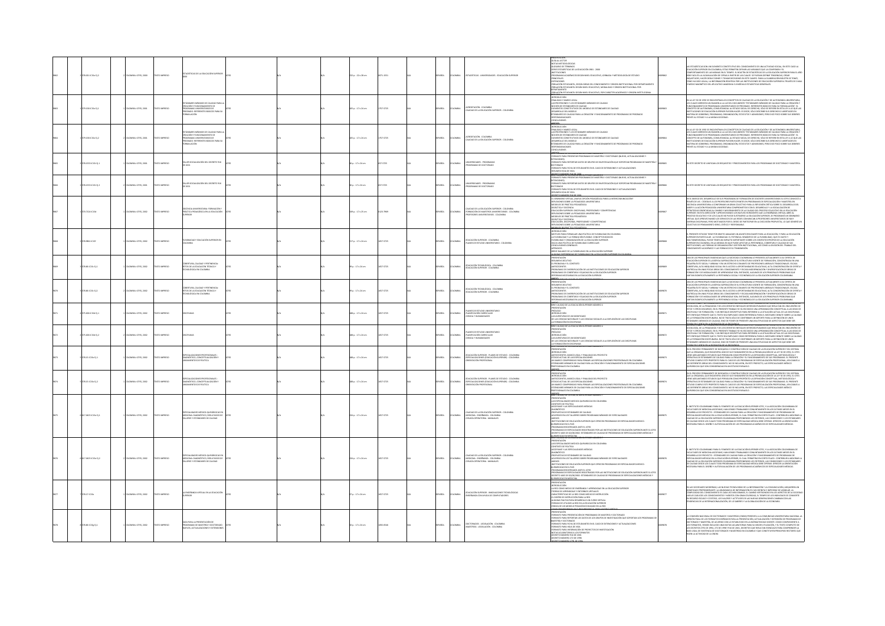|  |                       |                           |                   |                                                                                                              |  |                                                   |            |                |                |                                                                                                                                        | ODESENTACIÓN                                                                                                                                                                                                                                                                                                                                                                                                                                                                                                                                                                                                                                                                                                                  |              |                                                                                                                                                                                                                                                                                                                                                                                                                                                                                                                                                                                                                                                                                                                                                 |
|--|-----------------------|---------------------------|-------------------|--------------------------------------------------------------------------------------------------------------|--|---------------------------------------------------|------------|----------------|----------------|----------------------------------------------------------------------------------------------------------------------------------------|-------------------------------------------------------------------------------------------------------------------------------------------------------------------------------------------------------------------------------------------------------------------------------------------------------------------------------------------------------------------------------------------------------------------------------------------------------------------------------------------------------------------------------------------------------------------------------------------------------------------------------------------------------------------------------------------------------------------------------|--------------|-------------------------------------------------------------------------------------------------------------------------------------------------------------------------------------------------------------------------------------------------------------------------------------------------------------------------------------------------------------------------------------------------------------------------------------------------------------------------------------------------------------------------------------------------------------------------------------------------------------------------------------------------------------------------------------------------------------------------------------------------|
|  | 28.021 (C15e EL2)     | COMBIA: ICFES, 2000       | OZSRRM OTI        | DÍSTICAS DE LA EDUCACIÓN SUPERIOR                                                                            |  | 2 n.: 22 x 28 cm                                  | $1 - 1551$ | <b>JORKS</b>   | <b>XOMBIA</b>  | STADISTICAS - UNIVERSIDADES - EDUCACIÓN SUPERIOR                                                                                       | GUÍA AL LECTOR<br>NOTAS METODOLÓGICAS<br>GLOSARIO DE TÉRMINOS<br>SERIES ESTADÍSTICAS DE LA<br>UCACIÓN 1981 - 2000<br>CIENNAIS ACADÊMICOS SEGÚN NIVEL EDUCATIVO, JORNADA Y METODOLOGÍA DE ESTUDIO<br><b>PRINCIPALES</b><br>ianingumia<br>Oblación estudiante, según ábeas del conocimiento y obigen institucional por depa<br>Oblación estudiante: según nivel educativo, modalidad y obigen institucional por<br>OTKINATSAR<br>FOBLACIÓN ESTUDIANTE, SEGÚN NIVEL EDUCATIVO, POR CARÁCTER ACADÉMICO Y ORIGEN INSTITUCIONA                                                                                                                                                                                                      | \$2,000      | DAD SOCIAL, EN ESTE CASO LA<br>STARÍSTICAS SON UN ELEMENTO CONSTITUTIVO DEL CONOCIMIENTO DE UNA ACTIVIDAD SOCIAL, EN ESTE CASO LA<br>ACÓN SUPERIOR EN COLOMBIA; ESTAS PERMITEN DEFINIE LAS VARIALES QUE LA COMPONEN Y EL<br>PORTAMIENTO DE LAS MISMAS EN EL TIEMPO,<br>MINORIM MARIN LOW A ANNOUNCEMENT IN A LIMITED AND LESS AND A MINORITATION OF INVOLVING IN A MINORITAL AND IN A<br>QUITRIUDES, INCENSIBUTATION DE CIRRAS A PARTIR DE LAS CUALES SE PUEDAN DEFINIE TENDENCIAS, CIRRAS<br>QUITRIUDES, I                                                                                                                                                                                                                                     |
|  | $9.1581C15eE_0.1$     | LOMBIA: ICFES, 2001       | TO IMPRESO        | VILINGES MINIMUM DE CALICAD PARA<br>GRAMAS LINIVERSITARIOS DE<br>GRAMAS LINIVERSITARIOS DE<br><b>ULACIÓN</b> |  | 05 p. : 17 x 24 cm                                | 57-5725    | <b>JOANS</b>   | <b>XOMBIA</b>  | ICESDITACIÓN - COLOMBIA<br>"ALIDAD DE LA EDUCACIÓN SUPERIOR - COLOMBIA                                                                 | -<br>INTRODUCCIÓN<br>FINALIDAD Y MARCO LEGAL<br>"HIMMANIN' INMOVAMENT MONTHS IN A CHANNO<br>HOGHN DE CETANDARES DE CAUDAD<br>ALGANDINE DE CETANDARES DE CAUDAD<br>OECARRELO DEL ANDERO DO CAUDAD<br>OECARRELO DE CAUDAD PARA LA CREACIÓN Y FUNCIONAMIENTO DE PROGRAMAS DE PREGRADO<br>OECARRE<br>230AGLIBADES                                                                                                                                                                                                                                                                                                                                                                                                                 |              | LA LEY 30 DE 1992 SE ENCUENTRAN LOS CONCEPTOS DE CALIDAD DE LA EDUCACIÓN Y DE AUTONOMÍA UNIVERSITARIA.<br>N NI 1900 KURA MAROMI POR UNA LORDI POSTAVA DE STANDARIS MAROMONI I VA MUNIMIRMO NORTASIDADE NA LORDI CON LORD<br>COMES MERCEN UN DEMONTO NA LORDI DOCUMENTO "STANDARIS MANUSCO CAUDAD PARA LA CIRCACIÓN".<br>COMPANENTO DE PROGRAMA<br>INTE AL ESTADO Y A LA MISMA SOCIEDAD.                                                                                                                                                                                                                                                                                                                                                         |
|  | 9.158 (C15e E) 2      | <b>DMBIA: ICFES, 2001</b> | TO IMPRESO        | .<br>Koón y funcionamento de<br>Gramas universitarios de<br>Grado: referentes básicos pa<br>ULACIÓN          |  | 16 p. : 17 x 24 cm                                | 57-5725    | <b>PAÑOL</b>   | CMELA          | .<br>CREDITACIÓN - COLOMBIA<br>ALIDAD DE LA EDUCACIÓN SUPERIOR - COLOMBIA                                                              | <del>miceol.</del><br>-introducción<br>-finalidad y marco legal<br>LAS PROFESIONES Y LOS ESTI<br>ARES MINIMOS DE CAUDAD<br>NOCIÓN DE ESTÁNDARES DE CALIDAD<br>-ELEMENTOS CONSTITUTIVOS DEL MODELO DE ESTÁNDARES DE CALIDAD<br>-DESARROLLO DEL MODELO<br>.<br>TÁNDARES DE CALIDAD PARA LA CREACIÓN Y FUNCIONAMIENTO DE PROGRAMAS DE PREGRADO<br>ESPONSABILIDADES<br>CLUSIONES<br><b>ROCKLOND UN EA EUG</b>                                                                                                                                                                                                                                                                                                                     |              | .<br>La ley 30 de 1992 se encuentran los conceptos de caudad de la educación y de autonomía universitaria,<br>: cuales merecen un examen a la luz del documento "estándares mínimos de caudad para la creación y<br>UNCIDMAMENTO DE PROGRAMAS UNVIERSITARIOS DE PREGRADO, ESTERIDITES BÁSICOS PARA SU FORMULACIÓN", EL<br>ONCEPTO DE AUTONOMÍA, CONSULTANOMA AL ESTADO SODAL ES CRESIGOS, DELOS SE REISBE EN ESTA UTA ALO QUE ALG.<br>ETTIVOLONES DE EDU                                                                                                                                                                                                                                                                                        |
|  | 28.1553 (C15t EL1)    | COMBIA: ICFES, 2001       | OZSRRM OTI        | 200 OT24320 J30 WOOAHOOK RE                                                                                  |  | $a: 17 \times 24$ cm                              | 7-5725     | <b>JOANS</b>   | <b>AIGNOJC</b> | INERSIDADES - PROGRAMAN<br>OGRAMAS DE DOCTORADO                                                                                        | -<br>Formato para fassintar programas de mastría y doctorado (nuevo, actualizaciones y<br>Fotbacto para beportar patogramas de naestría y doctorado (nuevo, actualizaciones y<br>Foctorado<br>Doctorado<br>ORMATO PARA FICHA DE ESTUDIANTES EN EL CASO DE EXTENSIONES Y ACTUALIZACIONES<br><b>ROBERTO ANÍMEIRO DE DE 2001, SUPERIUR NUE</b>                                                                                                                                                                                                                                                                                                                                                                                   | <b>MODES</b> | STE DECRETO SE UNIFICAN LOS REQUISITOS Y PROCEDIMIENTOS PARA LOS PRO                                                                                                                                                                                                                                                                                                                                                                                                                                                                                                                                                                                                                                                                            |
|  | ssa icase que         | MBIA: ICFES, 2001         | O IMPRESO         |                                                                                                              |  | $: 17 \times 24$ cm                               |            | AÑOL           |                | -<br>MERSIDADES - PROGRAMAS<br>OCRAMAS DE DOCTORADO                                                                                    | <b>BMATO PARA PRESENTAR PROGRAMAS DE MAESTRÍA Y DOCTORADO INUEVO. ACTUALIZACIONES Y</b><br>xtenciones)<br>Formato para reportar datos de grupos de investigación que soportan programas de maestría<br>MARIO PARA FICHA DE ESTUDIANTES EN EL CASO DE EXTENSIONES Y ACTUALIZACIONES<br>UMEN HOJA DE VIDA<br>CRETO NÚMERO SIGRE DE 2001                                                                                                                                                                                                                                                                                                                                                                                         |              | DECRETO SE UNIFICAN LOS REQUISITOS Y PROCEI                                                                                                                                                                                                                                                                                                                                                                                                                                                                                                                                                                                                                                                                                                     |
|  | 120.71241C15d         | OMBIA: ICFES, 2002        | O22RRM OT:        | DOCENCIA UNIVERSITARIA: FORMACIÓN Y<br>PRÁCTICA PEDAGÓGICA EN LA EDUCACIÓN                                   |  | 9p.: 17 x 25 cm                                   | $-2969$    | <b>JOANS</b>   | <b>LOMBIA</b>  | CALIDAD DE LA EDUCACIÓN SUPERIOR - COLOMBIA<br>FORMACIÓN DE MAESTROS UNIVERSITARIOS - COLOMBIA<br>PROFESORES UNIVERSITARIOS - COLOMBIA | FYMENT HYNN<br>41. SEMINARIO VIRTUAL (NUEVA OPOÓN PEDAGÓGICA PARA LA INTERCOMUNICACIÓN?<br>4851.EXONES SOBRE LA PEDAGOGÍA UNIVERSITARIA<br>400ÁCTICA Y DOCENCIA<br>OIDÁCTICA Y DOCENCIA<br>EDUCACIÓN SUPERIOR: DISCIPLINAS, PROFESIONES Y COMPETENCIAS<br>INNININ SIPINNIN LUILINUINEN PAIKINNIN<br>SEEKOS DE PRÁCTICA PEDAGÓGICA<br>SÁCIICA V DOCENCIA<br>LICACIÓN, DIGORIENAS, PROFESIONES Y COMPETENCIAS<br>DOONES SOBRE LA PEDAGOGÍA UNIVERSITARIA                                                                                                                                                                                                                                                                        |              | en el marco del desarrollo de sus programas de formación de docentes universitarios el icers convocó à<br>Través de US- cededus a los profesores participantes en programas de especialización y marstría en<br>Docencia universitar<br>GIAS ORIDITADAS AL CAMBIO Y MEJORAMENTO DE LA CALIDAD DEL PROCESO EDUCATIVO EN LA EDUCACIÓN<br>.<br>Liperidr. En esta dirección y aproveciando los nuevos hordentes que la enseñanza virtual abre al<br>Rockso educativo y de los climes no plede sustrarese la educación sufriror, se programó un seminat<br>Irtual que aprovechando<br>reas desciplinas, pero motivados por el deseo de participar en la discusión propuesta, lo que generó un<br>Ictivo de pensamiento serio, crítico y responsable. |
|  | 278.90611C15f         | LOMBIA: ICFES, 2002       | OZBRRA OTX        | HE RORENT ROLLANDER OACHER<br>AIGMOJO                                                                        |  | 17 p. : 17 x 24 cm                                | 67-5725    | <b>JOANS</b>   | <b>DLOMBIA</b> | <b>EDUCACIÓN SUPERIOR - COLOMBIA</b><br>LANES DE ESTUDIO UNIVERSITARIO - COLOMBIA                                                      | <b>CONTROLLER</b><br>INTRODUCCIÓN<br>MOTIVOS PARA FORMULAR UNA POLÍTICA DE FLEXIBILIDAD EN COLOMBIA<br>LA FLEXIBILIDAD Y LA FORMACIÓN FLEXIBLE: CONCEPTOS BÁSICOS<br>.<br>A Flexibilidad y la formación flexible: conceptos básicos<br>"Lexibilidad y organización de la educación superior<br>HACIA UNA POLÍTICA DE FLEXIBLIDAD CURRICULAR<br><b>ISONES GENERALES</b><br>IREVE BALANCE DE LA FLEXIBILIDAD EN LA EDUCACIÓN SUPERIOR                                                                                                                                                                                                                                                                                           | <b>DORGS</b> | .<br>RESENTE ESTUDIO TIENE POR OBIETO ANALIZAR UN ASUNTO RELEVANTE PARA LA EDUCACIÓN, Y PARA LA EDUCACIÓN<br>.<br>NDR EN PARTICULAR : LA FLEXIBILIDAD. EL POTENCIAL SEMÁNTICO DE LA FLEXIBILIDAD, QUE ES VASTO Y<br>IDMIENSIONAL, PUEDE TENER UN IMPACTO IMPORTANTE SOBRE LOS CONTEXTOS PROPIOS DE LA EDUCACIÓN<br>uktionismaisma, yhden taika nin nin palvitai internetaine amerikainen taika propinsi un laikunaisma.<br>Bericic en colonisma, en laamerien en que puede afectar la pritinencia, cobirturany caliend de sus<br>Intolioniento académic                                                                                                                                                                                         |
|  | 78.86 IC15c Ej.1      | WALK-ICFES, 2002          | O MPRESO          | COBERTURA, CAUDAD Y PERTINENCIA<br>IETOS DE LA EDUCACIÓN TÉCNICA Y<br>TEONOLÓGICA EN COLOMBIA                |  | p.: 17 x 24 cm                                    | 5725       | <b>AÑOL</b>    | <b>LOMBIA</b>  | EDUCACIÓN TECNOLÓGICA - COLOMBIA                                                                                                       | <b>RESUMEN EJECUTIVO</b><br>EL PROBLEMA Y EL CONTEXTO<br>ANTECEDENTES<br>PROBLEMAS DE DIVERSIFICACIÓN DE LAS INSTITUCIONES DE EDUCACIÓN SUPERIOR<br>PROBLEMAS DE COBERTURA Y EQUIDAD EN LA EDUCACIÓN SUPERIOR<br>RMAS NECESARIAS EN LA EDUCACIÓN SUPERIOR                                                                                                                                                                                                                                                                                                                                                                                                                                                                     |              | NA DE LAS PRINCIPALES EXIGENCIAS QUE LA SOCIEDAD COLOMBIANA LE PRESENTA ACTUALMENTE A SU OFERTA DE<br>A ISLA EN PROPUNAS DOS RENOVAS QUE LA SOCIEDADA COMABINANA LA PRESISTA ACTUAUDATA A SU COSTA ES<br>CALCADA SUPERIOR EL LA BÁPICA SUPERIOREN DE USATENDADA PRESISTA EL CUENDADES LO CONSTANDA EN UNA EL<br>SECTIONAL A EL INSEE DE LA                                                                                                                                                                                                                                                                                                                                                                                                      |
|  | $0.06$ iC15c GJ 2     | DMBIA: ICFES, 2002        | O IMPRESO         | rtura, caudad y pertinenc<br>6 de la educación técnica y<br>Ológica en colombia                              |  | $p: 17 \times 24$ cm                              | -5725      | <b>DAR</b>     | <b>SMELA</b>   |                                                                                                                                        | RESENTACIÓN<br>RESUMEN EJECUTIVO<br>EL PROBLEMA Y EL CONTEXTO<br>antecedentes<br>Problemas de Diversificación de las instituciones de Educación Superior<br>Problemas de Cobertura y Equidad en la Educación Superior<br>Reformas Necesarias en la Educación Superior                                                                                                                                                                                                                                                                                                                                                                                                                                                         |              | UNA DE LAS PRINCIPALES EXIGENCIAS QUE LA SOCIEDAD COLOMBIANA LE PRESENTA ACTUALMENTE A SU OFERTA DE<br>CACIÓN SUPERIOR ES LA RÁPIDA SUPERACIÓN DE SU ESTRUCTURA VHERNITE DE FORMACIÓN, CONCENTRADA EN UNA<br>UEÑA ÉUTE SOCIAL Y URBANA Y EN UN ESTRECHO CONUNTO DE PROSESIONES UBERALES TRADICIONALES. ESCASA<br>ERTURA, ALTIX INDEGUIDAD S<br>GMACÓN Y DE MICOALIDADES DE APRENDIZALE SON, ENTONCES, ALGUNOS DE LOS PRINCIPALES PROBLEMAS QUE<br>ITAN SIGNIFICATIVAMENTE LA PERTINENCIA SOCIAL Y ECONÓMICA DE LA EDUCACIÓN SUPERIOR COLOMBIANA.                                                                                                                                                                                                |
|  | CONFIDENTI            | COOL 2021-ARMS            | <b>CORRECT</b>    | <b>DI INAT</b>                                                                                               |  | 8 n - 17 x 34 cm                                  | 10000      | <b>CONSC</b>   | <b>LOMBIA</b>  | LANES DE ESTUDIO UNIVERS<br>LANEICACIÓN CURRICULAR<br>JENCIA Y HUMANIDADES                                                             | ANEYO<br>ERIE CALIDAD DE LA EDUCACIÓN SUPERIOR NÚMERO 4<br>AS AVENTURAS DE UN SIGNIFICADO<br>MA MARINA DE NATIONALES Y LAS CIENCIAS SOCIALES A LA EXPLOSIÓN DE LAS DISCIPLINAS<br>LA FORMACIÓN EN DISCIPLINAS<br>ERIE CALIDAD DE LA EDUCACIÓN SUPERIOR NÚMERO 4                                                                                                                                                                                                                                                                                                                                                                                                                                                               |              | SCIPLINAS T LA FLIKMALICIN EN USALPLINAS HAN SEUD DERETO DE TRABAJO DE LA FILOSCIFIA, DE LA HISTORIA, DE<br>JOSCHINA († 1 ATRIMARCAN IN DESCRIPTION INFORMERITUR TRANSPORTED A MOSKIMA († 11. MEIRUST)<br>1920 M. A. B. ARTAMARCAN IN DESCRIPTION IN FOCUS IN TERNSORIANING QUI BESATAN DEL ROCHERTO DE<br>1931 VORTO COLORO E DE LETOTO PARAME<br>DARES MÍNIMOS DE CALIDAD, SINO DE PONER DE PRESENTE UNA MULTIPUCIDAD DE ASPECTOS QUE DEBE SER                                                                                                                                                                                                                                                                                                |
|  | $5.006$ (C15d E) $2$  | VIIIA: ICFES, 2002        | O22RRM OT         | <b>PLINAS</b>                                                                                                |  | ili p.: 17 x 24 cm                                | 5725       | <b>DAR</b>     | <b>LOMBIA</b>  | NES DE ESTUDIO L<br>LANEICACIÓN CURRICULAR<br>JENCIA Y HUMANIDADES                                                                     | <b>MODATAGERS</b><br>abox<br>ADÉLOGO<br>NTRODUCCIÓN<br>NTRODUCCIÓN<br>^^ HA CIENCIÁS INATURMES Y LAS CIENCIAS SOCIALES A LA EXPLOSIÓN DE LAS DISCIPLINAS                                                                                                                                                                                                                                                                                                                                                                                                                                                                                                                                                                      | 39872        | <u>DA FINGURIST ER NA ARÍSCUIFEN DEL A ENGELSMON SAU LIBELIU DE TRABALIU DE LA FILONARIA, DE LA HISTORIA, DE LA<br/>DOLDGÍA, DE LA PEDAGOGÍA Y DE LOS DISTINTOS ENFOQUES INTERESCIPLINARIOS QUE RESULTAN DEL ENCUENTRO DE</u><br>USSISSIONE, VA IN PERIMINANTE IN 1000 UNITE TRABALD SE HA ESCOGRO UNA APROXIMARION ECONCEPTUAL A LAS ISSUES DE<br>GENDEWAY DE FORMACIÓN, Y UN EXPECIQUE DESCRIPTIVO PARA RESERIRSE A LA SITUACIÓN ACTUAL DE LAS DISCIPIUNAS.<br>SITE<br>1 ANGUQUE VÁNDAITA QUE AL ILATUDA NA MONTAGUI CUMU DESPANSION VANA EL INALEMAND DERINATA SORRA LA CALCA (1920)<br>LA FORMACIÓN DECOR INARIA, NO SE TRATA SÓLO DE CONTRIBURI UN SOPORTE PARA LA DEPRIODÍN DE UNOS<br>ÁRIGARES MÍNIMOS                                   |
|  | 09.15 IC15e Ej.1      | DMBIA: ICFES, 2002        | O22RRM OT:        | DIAGNÓSTICO, CONCEPTUALIZACIÓN Y<br>LINEAMIENTOS DE POLÍTICA                                                 |  | 88 p.: 17 x 24 cm                                 | 57-5725    | <b>JOAK523</b> | <b>AIGMOJC</b> | DUCACIÓN SUPERIOR - PLANES DE ESTUDIO - COLOMBIA<br>ESPECIALIZACIONES (EDUCACIÓN SUPERIOR) - COLOMBIA<br>ORIENTACIÓN PROFESIONAL       | PRESENTACIÓN<br><b>NODUCOON</b><br>WITECEDENTES, MARCO LEGAL Y FINALIDAD DEL PROYECTO<br>-ESTADO ACTUAL DE LAS ESPECIALIZACIONES<br>-UN MARCO COMPRENSUO PARA PENSAR LAS ESPECIALIZACIONES PROFESIONALES EN COLOMBIA<br>-ESTÁNDARES MÍNIMOS DE CALIDAD PARA LA CREACIÓN Y FUNCIONAMIENTO DE ESPECIALIZACIONES<br>ESONALES EN COLOMBIA                                                                                                                                                                                                                                                                                                                                                                                         | 109873       | N EL PROCESO PERMANENTE DE BÚSQUEDA Y CONSTRUCCIÓN DE CALIDAD DE LA EDUCACIÓN SUPERIOR Y DEL SISTEMA<br>N II MOCED PREMAININT DE REGISSION V CONTRIBUCIÓN DE CAUSA DE LA DICACACHE LA MICHARD VES ISLES ESTAN EN EN CO<br>ESTA LA DIGINAR DES TROUBITION NOVEMBRE DE PRODUCTION DE LA MICHARDA DE LA ILIT DE DE SIRC, IL CES<br>SPRANTA DE                                                                                                                                                                                                                                                                                                                                                                                                      |
|  | .<br>JELIS ICISe Ej.2 | CIMBIA: ICFES, 2002       | TO IMPRESO        | NÓSTICO, CONCEPTUALIZACIÓN Y<br>ANENTOS DE POLÍTICA                                                          |  | 88 p. : 17 x 24 cm                                | 3.5725     | <b>DAGI</b>    | CMELA          | educación Superior - Planes de Estudio - Colombia<br>Especializaciones (Educación Superior) - Colombia<br>Orientación Profesional      | <b>RENÉVADRE DE COLORES PREMIER DE CONFIDENCIA (DE COLORES PREMIER)<br/>- ARCONOCOLORES, MARCO LIGAL V FRANLENO DEL PROTECTO<br/>- ARTICEDENTS, MARCO LIGAL V FRANLENO DEL PROTECTO<br/>- ARTICEDENTS, MARCO LIGAL V FRANCA LAS ESPECIALENO </b><br>satant<br>2010 - Sunan ne i a chiararana cipepang kilak                                                                                                                                                                                                                                                                                                                                                                                                                   | 09874        | N EL PROCESO PERMANENTE DE BÚSQUEDA Y CONSTRUCCIÓN DE CALIDAD DE LA EDUCACIÓN SUPERIOR Y DEL SISTEMA<br>W NA MONDAM PARAMONIN'I NON MINOR CON CONTROL DE LA CONSUMIDATION DE LA LETTRI DE 1992, EL LICES DE 1992, EL L<br>ISIE LA DISLANTANÇO ESTUDIDES QUE PRISIGUIN COMO PROPÓSITO LA DEFINICIÓN CONCEPTUAL, MITODOLÓGICA Y<br>POERATINA D<br>SIFERENTES ÁREAS DEL CONDOMNENTO, NO SE INCLUYEN, EN ESTE PROYECTO, LAS ESPECIALIDADES MÉDICO<br>IÚRGICAS QUE SON CONSIDERADAS EN UN ESTUDIO PARALELO.                                                                                                                                                                                                                                          |
|  | 04251C15e Ej.1        | LOMBIA: ICFES, 2002       | O22RRM OT         | <b>ISS MÉDICO QUIRÚRGICAS</b><br>MEDICINA: DIAGNÓSTICO, RESULTADOS DI<br>RES Y ESTÁNDARES DE CALIDAD         |  | 34 p. : 17 x 24 cm                                | 5725       | <b>MGOL</b>    | <b>CAIGLA</b>  | AIRMOID - ROUSSIÓN SUPERIOR - COLOMBIA<br>MEDICINA - ENSEÑANZA - COLOMBI<br>RUGÍA OPERATORIA - MANUALES                                | PRESENTACIÓN<br>LAS ESPECIALIDADES MEDICO-QUIRURGICAS EN COLOMBIA<br>A30USD BE RELEASE<br>OFAME Y LAS ESPECIALIDADES MÉDICAS<br>-DIAGNOSTICO<br>-PROPUESTAS DE ESTÁNDARES DE CALIDAD<br>ACUERDOS EN LOS TALLERRES SOBRE PROGRAMAS MÍNIMOS DE ESPECIALIDADES<br>ANEXOS<br>-andids<br>-institutiones de Educación Superior que ofrecen programas de Especialidades Medico-<br>quirurgicas en el País<br>-programas registrados ante el icfes<br>PROGRAMAS DE ESPECILIDADES REGISTRADOS POR LAS INSTITUCIONES DE EDUCACIÓN SUPERIOR ANTE EL ICFES.<br>JECRETO 1665 DE 02/08/2002: ESTÁNDARES DE CALIDAD DE PROGRAMAS DE ESPECIALIZACIONES MÉDICAS Y<br>LURURGICAS EN MEDICINA.<br>EREI CALIDAD DE LA EDUCACIÓN SUPERIOR NUMERO 7 | 109875       | .<br>PARA EL FOMENTO DE LA EDUCACIÓN SUPERIOR ICFES, Y LA ASOCIACIÓN CO<br>UNI UNI DEMONDIMA PARA IL NAVIOLO DE DE DE DE MARCADO A DI MARCADA EL POLA DE DE DE DE DE DE DE DE DE DE DE DE<br>ABRILLO DE PROYECTO : ESTÀNDARS DE CALIDAD PARA LA CIBRACHIA Y FUNCIDAMINTA DE DE PROGRAMAS DE IL<br>ABRILLO DE PR<br>.<br>NAD DE LA EDUCACIÓN SUPERIOR COLOMBIANA PROPONENDO LOS CRITERIOS, LAS CONTICIONES Y LOS ESTÁNDARES<br>ALIDAO DISOEI LOS CUALES TODO PROGRANA DE ESPECULIDAD MÉDICA DEBE QUERAS. OPERCER LA OBINITACIÓN<br>SARIA PARA EL DISEÑO Y A                                                                                                                                                                                      |
|  | 34251C15e Ej.2        | LOMBIA: ICFES, 2002       | OZSRRM OTI        | DIONA: DIAGNÓSTICO, RESI<br>LERES Y ESTÁNDARES DE CALIDAD                                                    |  | 4p.: 17 x 24 cm                                   |            | i Gru          | OMBIA          | uidad de la educación superior - colombia<br>Edicina - Enseñanza - colombia<br>BUGÍA OPERATORIA - MANUALES                             | itación<br>Pecialidades medico-quirurgicas en colombia<br>EXTO DE POLÍTICA<br>SCOFAME Y LAS ESPECIALIDADES MÉDICAS<br>-<br>DIAGNÓSTICO<br>-<br>PROPUESTAS DE ESTÁNDARES DE CALIDAD<br>-<br>ACUERDOS EN LOS TALLERRES SOBRE PROGR<br>AS MINIMOS DE ESPECIALIDADES<br><b>MATHEMATICS</b><br>»<br>JOONES DE EDUCACIÓN SUPERIOR QUE OFRECEN PROGRAMAS DE ESPECIALIDADES MEDICO-<br><b>EREMINISTRATION</b><br>QUIRURGICAS EN EL PAÍS<br>TEMPERANAS REGISTRADOS ANTE EL ICFES<br>MMAS DE ESPECIL<br>.<br>NDOS POR LAS INSTITUCIONES DE EDUCACIÓN SUPERIOR ANTE EL ICFES<br>CRETO 1665 DE 02/08/2002: ESTÁNDARES DE CALIDAD DE PROGRAMAS DE ESPECIALIZACIONES MÉDICAS Y<br>AMONDIAN AT 2ADGRUNA                                      | 9876         | BIANO PARA EL FOMENTO DE LA EDUCACIÓN SUPERIOR ICFES, Y LA ASOCIACIÓN COLOMBIANA DE<br>.<br>Jultaois de Medicina Ascognae, han venedo trabajando conuntamente en los últimos meses en el<br>Arrollo de Proyecto : estándars de Caudad para la cebalón y funcionamento de Programas de<br>Coalidades médicas en la educación su<br>JOAD DE LA EDUCACIÓN SUPERIOR COLOMBIANA PROPONIENDO LOS CRITERIOS. LAS CONDICIONES Y LOS ESTÁNDARI<br>ALIDAD DESDE LOS CUALES TODO PROGRAMA DE ESPECIALIDAD MÉDICA DEBE OPERAR. DEASCER LA ORIENTACIÓN<br>CARIA DADA EL DISEÑO Y AUTODUALI HACIÓN DE LOS GROCOANAIS ACADÉMACOS DE ESPECIALIDA EN ORIENTACIÓN                                                                                                 |
|  | 28.17 (C15e)          | DMBIA: ICFES, 2002        | OZRRM OT          | NSEÑANZA VIRTUAL EN LA EDUCACIÓN<br>ERIOR                                                                    |  | $\mathsf{p}_i: \mathsf{17} \times \mathsf{24}$ cm | 1.5725     | <b>AÑOL</b>    | <b>CMELA</b>   | EDUCACIÓN SUPERIOR - INNOVACIONES TECNOLÓGICAS<br>ENSEÑANZA CON AYUDA DE COMPUTADORES                                                  | KÉSENTACIÓN<br>FRODUCCIÓN<br>A RED COMO MEDIO DE ENSEÑANZA Y APRENDIZAJE EN LA EDUCACIÓN SUPERIOR<br>"-<br>"Toniks de Aprindiale" e entornos virtuales<br>"-Ekarterísticas de la Red como medio de Instrucción"<br>41 Guinas Pautas Para desarrollo un curso virtual<br>"41 Guinas Pautas Para desarrollo un curso virtual<br><b>THANS DE UTILIZAR LA RED EN LA EDUCACIÓN SUPERIOR</b><br>02A DE UN MODELO PEDAGÓGICO BASADO EN LA RED                                                                                                                                                                                                                                                                                        |              | AS SOCIEDADES MODERNAS. LAS NUEVAS TECNOLOGÍAS DE LA INFORMACIÓN Y LA COMUNICACIÓN, ADQUIEREN UN<br>AN ARANGANA MANAMAN LA MAINDANCA DE MASTAMA CON INSTRUCTION DE MANAMANA, MANAMANA MANAMANA DE MANAMANA DE MANA<br>UN CARA DE CONCIDIUNTATO DE CARA VEZ MÁS EMANCADA DE CAR INSTRUITORIO DE LOS ARPAIXOS EL CARA CONCIDIUNTATO D<br>U                                                                                                                                                                                                                                                                                                                                                                                                        |
|  | $1.85 \times 15$      | LOMBIA: ICFES, 2002       | <b>OZZRRA OTI</b> | .<br>GUÍA PARA LA PRESENTACIÓN DE<br>MUEVOS, ACTUALIZACIONES Y EXTI                                          |  | $p:17 \times 24$ cm                               | 0545       | <b>DAR</b>     | CMELA          | DOCTORADOS - LEGISLACIÓN - COLOMBIA<br>MAESTRÍAS - LEGISLACIÓN - COLOMBIA                                                              | .<br>MATO PARA PRESENTACIÓN DE PROGRAMAS DE MARSTRÍA Y DOCTORADO<br>MATO PARA REPORTAR LOS DATOS DE LOS GRUPOS DE INVESTIGACIÓN QUE SOPORTAN LOS PROGRAMA<br>FORMATO PARA INFORMACION DE PROT<br>NOTAS ACLARATORIAS A LOS FORMATOS<br>OECRETO NÚMERO 916 DE 2001                                                                                                                                                                                                                                                                                                                                                                                                                                                              | 9878         | MISIÓN NACIONAL DE DOCTORADOS Y MAESTRÍAS ICNOMI PRESENTA A LA COMUNIDAD UNIVERSITARIA NACIONAL L<br>COMMON MACINAL AN OCTOMACIÓN VANCISTAN (PORMI) PRESIDENTA A LOCAMINANO UNIVERSIDAN MACINA LA CONSUMINACIÓN EN<br>ROCAL HONG EL LOS FORMATION DERENGON PARA AN PRESIDENCIÓN, ACTUALIZACIÓN VISTINGAÑO EN PROGRAMAS EN<br>REGIÓNATOS,                                                                                                                                                                                                                                                                                                                                                                                                        |
|  |                       |                           |                   |                                                                                                              |  |                                                   |            |                |                |                                                                                                                                        |                                                                                                                                                                                                                                                                                                                                                                                                                                                                                                                                                                                                                                                                                                                               |              |                                                                                                                                                                                                                                                                                                                                                                                                                                                                                                                                                                                                                                                                                                                                                 |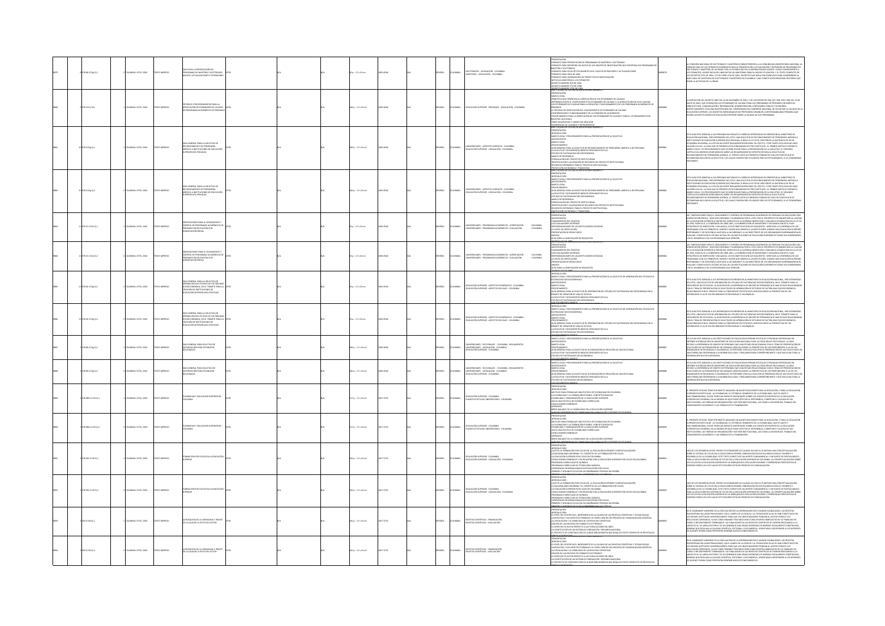|  | 278.86 (C15a EL2    | CIVILA-ICFES, 2002        | OZBRNI OTX         | A PARA LA PRESENTACIÓN DE<br>GRAMAS DE MAESTRÍA Y DOCTORADO<br>VOS, ACTUALIZACIONES Y EXTENSIONE                                                                                                  |  | 60 p. : 17 x 24 cm  | 2022-0546 |  | x6o.         | COLOMBIA       | DOCTORADOS - LEGISLACIÓN - COLOMBIA<br>- MAESTRÍAS - LEGISLACIÓN - COLOMBIA                                                               | ARAN LANDARUN LA EN EUROPEAN AUFRILIA NUMERO 1<br>-PRESENTACIÓN<br>-FORMATO PARA PRESENTACIÓN DE PROGRAMAS DE MAESTRÍA Y DOCTORADO<br>-formand fran Primerikaan die Primerikaanse keerse de investigaalde spoortan los Program<br>Karriato fran Reportar los datos de los grupos de investigación que soportan los Program<br>-formato fran Ficha de estudiantes en el cas<br>FORMATIO PARA HOLA DE SITUA<br>FORMATIO PARA HOLA DE VIDA<br>FORMATIO PARA HOLA DE VIDA<br>RORMATIO PARA HOLA DE VIDA<br>NOTAS ACLARATIONAS A LOS FORMATOS<br>DICRITO NÚMISBO 372 DE 1998<br>DICRITO NÚMISBO 372 DE 1998<br>DICRITO NÚMISBO 372 DE<br>ERIE CALIDAD DE LA EDUCACIÓN SUPERIOR NÚMERO | 6679 | COMPÓN MACONAL ES COLTOMACOS VANACIDATES (FIGURAL PRESIDENTA AL COMUNIDAD UNIVERSIDE MA MACONAL AS COLTOMACOS<br>CON FINANCIO ES CARRINGO CON EN ANALISA DE MARCARCA ACTUALIZACIÓN E DE TRONON DE PROCENANA DE<br>TORANDO VANACIDA (                                                                                                                                                                                                                                                                                                                                                                                                                                                                      |
|--|---------------------|---------------------------|--------------------|---------------------------------------------------------------------------------------------------------------------------------------------------------------------------------------------------|--|---------------------|-----------|--|--------------|----------------|-------------------------------------------------------------------------------------------------------------------------------------------|----------------------------------------------------------------------------------------------------------------------------------------------------------------------------------------------------------------------------------------------------------------------------------------------------------------------------------------------------------------------------------------------------------------------------------------------------------------------------------------------------------------------------------------------------------------------------------------------------------------------------------------------------------------------------------|------|-----------------------------------------------------------------------------------------------------------------------------------------------------------------------------------------------------------------------------------------------------------------------------------------------------------------------------------------------------------------------------------------------------------------------------------------------------------------------------------------------------------------------------------------------------------------------------------------------------------------------------------------------------------------------------------------------------------|
|  | <b>08.155 IC15c</b> | OMBIA: ICFES, 2002        | <b>CIZERIMI OT</b> | CRITEROS Y PROCEDIMENTOS PARA LA<br>VERIFICACIÓN DE ESTÁNDARES DE CALIE<br>DE PROGRAMAS ACADÉMICOS DE PREGI                                                                                       |  | 146 p. : 17 x 24 cm | 02-0546   |  | x6ox         | OLOMBIA        | .<br>NY ACIÓN SUBERICO - PRECENDO - I ECISIACIÓN - COLOMBIA                                                                               | SIMIL CALIDADES IL ALEUGACION SOMMOLIN RUMINES<br>- PRISCIPITACION<br>- PRISCIPITACIONE CONSIDERATIVA VIVINGICANO DE CAS ESTÁNDARES DE CALIDAD<br>- COFERINGA DURIE EL CUMPLIMIENTO DE ESTÁNDARES DE CALIDAD Y LA ACEEDITACIÓN DE ALTA<br>EL PROCESO DE VERIFICACIÓN DEL CUMPLIMIENTO DE ESTÁNDARES DE CALIDAD<br>"AR MONARCON E RIMANON VIA "LOUREN DE LOCARISMO EN ANADIANO"<br>- FORCESANDINTO PARA LA VERIRIANTO DE LA COMISIÓN DE ANADIANOS<br>- PORCESANDINTO PARA LA VERIRIANZÁN DE LOS ESTÁNDARES DE CALIDAD Y PARA EL OTO<br>-<br>- PARES ANADÍANCO<br>SUGERENCIAS DE CUADROS E INSTRUMENTOS                                                                            |      | .<br>NEDICIÓN DEL DECRETO 2802 DEL 20 DE DICIEMBRE DE 2001, Y DE LOS DECRETOS 936, 937, 938, 939 Y 940 DEL 10 DE<br>EN LAS INSTITUCIONES DE EDUCACIÓN SUPERIOR SOBRE LA CALIDAD DE SUS PROGRAMAS.                                                                                                                                                                                                                                                                                                                                                                                                                                                                                                         |
|  | 10 378 IC15g EL1    | LOMBIA: ICFES, 2002       | OZZRRA OTX         | CONTRAL PARA LA SOLICITUD DE<br>JRÍDICA A INSTITUCIONES DE EDUCACIÓN<br>HEGENHA NESI PRIVADAS                                                                                                     |  | 100 p. : 17 x 24 cm | 2423-003  |  | <b>DAR</b>   | COLOMBIA       | UNIVERSIDADES - ASPECTOS JURÍDICOS - COLOMBIA<br>- EDUCACIÓN SUPERIOR - LEGISLACIÓN - COLOMBIA                                            | PRESENTACIÓN<br>-INTRODUCCIÓN<br>-MARCO LEGAL Y PROCEDINIENTO PARA LA PRESENTACIÓN DE LA SOLICITUD<br>-ANTECEDENTES<br>ANIMAL.<br>MARCO LEGAL<br>CONTRAENTO<br>GUÍA GENERAL PARA LA SOLICITUD DE RECONOCIMIENTO DE PERSONERÍA JURÍDICA A IES PRIVADAS<br>-GOM MINIMA MONTANDI DU MICHALISTA DE DEL A MONTANTA ADESANTA EL SOCIADO DE FRANCIA EL SOCIADO DE MINIMA EL SOCIADO DE MINIMA EL SOCIADO DE MINIMA EL SOCIADO DE MINIMA EL SOCIADO DE MINIMA EL SOCIADO DE MINIMA EL SOCIADO D<br>.<br>Profección económica y financiera.<br>Erie caudad de la educación superior numero 3                                                                                              |      | .<br>LOI ÉLECTÉ DIRIGIDA A LAS REPONAIS NATI IRAI ES O HIRÍTICAS INTERFSADAS EN DRESENTAR AL MINISTERIO DE<br>EXTA GUA ESTA COMORANA LAS PRESIDENAS MANIAMAS EN OCUPADOS ANY EN ENCERTANTA MANIEMENTOS EN ESTA CONSUMERADO EN ENTRE UN ANOS EN ENCERTANT EN ENCERTANT EN EL ENTRE EN EL ENTRE EN EL ENTRE EN EL ENTRE EN EL ENTRE EN EL ENT                                                                                                                                                                                                                                                                                                                                                               |
|  | 278 (C15g E) 2      | CANBLA: ICFES, 2002       | OZBRRA OTI         | IRÍDICA A INSTITUCIONES DE EDUCACIÓN<br>JPERIOR (IES) PRIVADAS                                                                                                                                    |  | 100 p. : 17 x 24 cm | 38,75.02  |  | AÑOL.        | COLOMBIA       | VERSIDADES - ASPECTOS JURÍDICOS - COLOMBIA<br>-<br>EDUCACIÓN SUPERIOR - LEGISLACIÓN - COLOMBIA                                            | HARL CALINADUS<br>-PRESENTACIÓN<br>-MARCO LEGAL Y<br>-MARCO LEGAL Y<br>.<br>FROCEDIMIENTO PARA LA PRESENTACIÓN DE LA SOLICITUD<br>MARCO LEGAL<br>PROCEDIMIENTO<br>GUÍA GENERAL PARA LA SOLICITUD DE RECONOCIMIENTO DE PERSONERÍA JURÍDICA A IES PRIVADAS<br>MARCO DE FACTIBILIDAD SOCIOECOMÓNICA<br>- LA SOLICITUD Y DOCUMENTOS BÉSICOS DERIVADOS DE ELLA<br>- MARCO DE REFERENCIA<br>MARCO DE REFRIENCIA<br>FORMULACÓN DEL PROYECTO INSTITUCIONAL<br>JERNIURCACÓN Y VALORACÓN DE RECURSOS DEL PROYECTO INSTITUCIONAL<br>JERUJESOS DISPONIBLES PARA EL PROYECTO INSTITUCIONAL<br>OVECCIÓN ECONÓMICA Y FINANCIERA                                                                 |      | .<br>TA GLIÁ ESTÁ DIRIGIDA A LAS PERSONAS NATURALES O JURÍDICAS INTERESADAS EN PRESENTAR AL MINISTERIO DE<br>UCACIÓN NACIONAL, POR INTERMEDIO DEL ICFES, UNA SOLICITUD DE RECONOCIMIENTO DE PERSONERÍA JURÍDICA<br>LUGOSICANI MAGIORAL, PORTA IL PARTIKO UN EXPERI, UNA AUSTELIU UN MICONOJNIMI ILIO UN PRISTIERILA DI ILIS ILE<br>ECCITOLOGINES DE EDUCACIÓN SURFRIDR (IES) PRIVADAS. SI BIEN LA LEY 30 DE 1992 PREVI LA EXISTENCIA DE IES DE<br>ILUSI<br>mi Maria Taliana, in Vincenția de Partia III în 1990an de Maria Maria Alexandro III. Antiocolul III algundo<br>Emarco Legal y el Paccerbanearo cult se debe seguiermentos específicos para la solicitur. El Segundo<br>Araítulo da O<br>NENTE. |
|  | 279.15 (C15o EL1)   | MBIA: ICFES, 2002         | CO39940 CD         | CRIENTACIONES PARA EL SEGUINIEN<br>CONTROL DE PROGRAMAS ACADÉMI<br>PREGRADO EN EDUCACIÓN CON<br>ITACIÓN PREVIA                                                                                    |  | $66a:17x36$ cm      | 33,0545   |  | <b>PAÑOL</b> | OLOMBIA        | -<br>UNIVERSIDADES - PROGRAMAS ACADÉMICOS - ACREDITACIÓN - - COLOMBIA<br>- UNIVERSIDADES - PROGRAMAS ACADÉMICOS - EVALUACIÓN - - COLOMBIA | ARRESADEN DATENTOLISASE<br>-PRESENTACIÓN<br>-FUNDAMENTOS DEL PROCESO<br>-LOS EVALUADORES EXTERNOS<br>-RESPONSABILIDADES DE LAS INSTITUCIONES VISITADAS<br>-LA VISITA DE VERIFICACIÓN<br>-LA VISITA DE VERIFICACIÓN<br>-PRESENTACIÓN DE RESULTADOS<br>-GUÍA PARA LA VERIFICACIÓN DE REQUISITOS                                                                                                                                                                                                                                                                                                                                                                                    |      | .<br>Ac "Obertaciones para el seguidadito" (control de Programa <i>Kacadarcos</i> de Pregado de Coulción con<br>Calendacionesca: "Any additionador" e anguadad por el desecuto el partonio de Gandeidia (k. Calendacion)<br>Es 1993, para el<br>ISPONSARIE Y DE DECEENCIA AUSTADA A LAS NORMAS Y A LAS DIRECTRICES DE LOS ORGANISMOS GUBERHAARSITALES.<br>VALUAR Y CONSTATAR EL ESTADO ACTUAL DE LAS NORTIFUCIONES DE EDUCACIÓN SUPEROR EN TODAS SUS DIMINIUONES<br>EN EL DESARROLLO                                                                                                                                                                                                                      |
|  | 09.15 IC15o Ej. 2   | MBIA: ICFES, 2002         | <b>IMPRESO</b>     | S PARA EL SEGUIMIENTO<br>CONTROL DE PROGRAMAS ACADÉMICOS DE<br>PREGRADO EN EDUCACIÓN CON<br>ACREDITACIÓN PREVIA                                                                                   |  | 66 p. : 17 x 24 cm  |           |  | AÑOL.        | <b>OLOMBIA</b> | UNIVERSIDADES - PROGRAMAS ACADÉMICOS - ACREDITACIÓN - COLOMBIA<br>UNIVERSIDADES - PROGRAMAS ACADÉMICOS - EVALUACIÓN - COLOMBIA            | -<br>RAGPERDJADOG LIFE<br>PRESENTACIÓN<br>ANTECEDENTES<br>-ANTECEDENTES<br>- LOS EVALUADORES EXTERNOS<br>- LOS EVALUADORES EXTERNOS<br>- RESPONSABILIDADES DE LAS INSTITU<br>- LA VISITA DE VERIFICACIÓN<br>- PRESENTACIÓN DE RESULTADOS<br>ANEXOS<br>GUÍA PARA LA VERIFICACIÓN DE REQUISITOS                                                                                                                                                                                                                                                                                                                                                                                    |      | .<br>AS "ORIENTACIONES PARA EL SEGUINIENTO Y CONTROL DE PROGRAMAS ACADÉMICOS DE PREGADO EN EDUCACIÓN CON<br>CREDITACIÓN PREVIA", HAN SIDO DEFINIDAS Y ELABORADAS POR EL ICEES CON EL PROPÓSITO DE GARANTIZAR LA CALIDAD<br><b>ACTION CONVINY WAS KID CONVINCING AN CARRIER OF THE COLE IN PROPUTION SCANNORSHIP (ACAUSE AND ACTION CONTINUES)</b><br>IS 1988 AND IN A CONDICION OF HIGH AND LARGE CONTINUES ON DEPENDIT VIRGINIAL MICH. IN AN INTERFECTION CONTI                                                                                                                                                                                                                                          |
|  | 278.02 (C15g E).1   | 04-1093, 2002             | O IMPRESO          | GENERAL PARA LA SQUCITUD DE<br><b><i>APROBACIÓN DEL ESTUDIO DE FACTIBILIDAD<br/>APROBACIÓN DEL ESTUDIO DE FACTIBILIDAD<br/>CREACIÓN DE INSTITUCIONES DE</i></b><br>ACIÓN SUPERIOR (IES) ESTATALES |  | 4 p. : 17 x 24 cm   |           |  | AÑOL.        | OLOMBIA        | -<br>EDUCACIÓN SUPERIOR - ASPECTOS ECONÓMICOS - COLOMBIA<br>- EDUCACIÓN SUPERIOR - ASPECTOS SOCIALES - COLOMBIA                           | ARMI DISANYO DIA LA NASADANDAN' ANY MANA MARMINDO A<br>- ANTRODUCCIÓN<br>- ANTRODUCCIÓN<br>EACTORIUDAD SOCIOECONÓMICA<br>-<br>-<br>MARCO LEGAL<br>- PROCEDIMENTO<br>-PRANAMMINI ()<br>GRÉAGENERAL PARA LA SOLICITUD DE APROBACIÓN DEL ESTUDIO DE FACTIBILIDAD SOCIOECONÓMICA EN EL<br>FASÁRITE DE CREACIÓN DE UNA IES ESTATAL<br>FASTUDIO DE FACTIBILIDAD SOCIOECONÓMICA<br>FESTUDIO DE FACTIBILIDAD SOCIOECON                                                                                                                                                                                                                                                                   |      | esta guín está dorgon a los interesados en presintar al ministrito de Educación Nacional, Por Internedio<br>Bril este, una solutivo de Apronación ell estudio de factibilidad decorconómica, en el trántif para la<br>Chialcón de Es<br>ESADOS O LA DE LOS ENCARGADOS DE REVISARLAS O VALORARLAS.                                                                                                                                                                                                                                                                                                                                                                                                         |
|  | 378.02 (C15g E) 2   | MBIA: ICFES, 2002         | OZZRRM OT          | ÍA GENERAL PARA LA SOLICITUD DE<br>APROBACIÓN DEL ESTUDIO DE FACTIBILIDA<br>SOCIOECONÓMICA, EN EL TRÁMITE PARA LA<br>CREACIÓN DE INSTITUCIONES DE<br>EDUCACIÓN SUPERIOR (IES) ESTATALES           |  | 94 p. : 17 x 24 cm  | 02-0546   |  | x6ox         | OLOMBIA        | - EDUCACIÓN SUPERIOR - ASPECTOS ECONÓMICOS - COLOMBIA<br>- EDUCACIÓN SUPERIOR - ASPECTOS SOCIALES - COLOMBIA                              | <del>ária (diginiumi ex Nordia, an Maria Human)</del><br>-introducción<br>Maria (dela y Procediniento Para la Presentación de la Souctiud de Aprobación del Estudio de<br>Factibilidas socioeconómica<br>ANTECEDENTES<br>MARCO LEGAL<br>PROCEDIMENTO                                                                                                                                                                                                                                                                                                                                                                                                                             |      | GUÍA ESTÁ DIRIGIDA A LOS INTERESADOS EN PRESENTAR AL MINISTERIO DE EDUCACIÓN NACIONAL, POR INTERMEDIO<br>KANSKON KANS KARRIKONSKA KONTRAGADATA PRAKONSKA PSIKONKA DODOCOGNADAN VARJAMAS, POD PRAKONSKA PODIJEJA<br>CRIL ICESS, UNA SCULTIVID DE APROBACIÓN DEL ESTUDEO DE FACTIBILIDAD SOCIOECONSÁMICA, EN ILI TRÁMITE PARA LA<br>CRIN ICESS,<br>IONADOS CON EL TRÁMITE PARA LA CREACIÓN DE IES ESTATALES, BIEN SEA DESDE LA PERSPECTIVA DE LOS<br>ESADOS O LA DE LOS ENCARGADOS DE REVISARLAS O VALORARLAS.                                                                                                                                                                                              |
|  | 228.86 IC15g Ej. 1  | MBIA: ICFES, 2002         | O22RRM OT          | IA GENERAL PARA SQUCITUD DE<br>FORIZACIÓN PARA ESTABLECER<br>CIONALES                                                                                                                             |  | 106 p. : 17 x 24 cm | 02-0546   |  | xko.         | <b>XOMBIA</b>  | RSDADES - SECODINALES - COLOMBIA - REGLAMENTOS<br>UNIVERSIDADES - LEGISLACIÓN - COLOMBIA<br>- EDUCACIÓN SUPERIOR - COLOMBIA               | MARCO LEGAL Y PROCEDIMENTO PARA LA PRESENTACIÓN DE LA SOUCITUD<br>ANTECEDENTES<br>MARCO LEGAL<br>"HIPANO<br>-PROCEDIMIENTO<br>-GUÍA GENERAL PARA LA SOLICITUD DE AUTORIZACIÓN DE CREACIÓN DE UNA SECCIONAL<br>-LA SOLICITUD Y DOCUMENTOS BÁSICOS DERIVADOS DE ELLA<br>VOID DE FACTIBILIDAD SOCIECONÓMICA<br>LOCCUMENTOS ANEXOS                                                                                                                                                                                                                                                                                                                                                   |      | STA GUÍA ESTÁ DIRIGIDA A LAS INSTITUCIONES DE EDUCACIÓN SUPERIOR ESTATALES O PRIVADAS INITERESADAS EN<br>BITENER AUTORICACIÓN DEL MINISTERIO DE EDUCACIÓN MACIONAL PARA LA CRIACIÓN DE SECCIONALES. LA GUÍA<br>ECOGE LA EXPERIENCIA<br>GE LA ESPERIENCIA DE GRUPO DE UN DISOLMAJ QUE MON ESIMULTURI MULATURMANO LUIS IL : HANNO A PRAMINIMANO NO DE C<br>ITILISES DE RUTORIZACIÓN DE SECCIONALES, BIEN SEA DESDE LA PERSPECTIVA DE LOS PROPONENTES O LA DE LOS<br>GEAROS DE<br>RAMCIÓN QUE SEA NECESARIA.                                                                                                                                                                                                 |
|  | 23.86 IC15g EL2     | <b>OMBIA: ICFES, 2002</b> | O22RRM OT          | A GENERAL PARA SQUCITUD DE<br>TORIZACIÓN PARA ESTABLECER<br>COONALES                                                                                                                              |  | 106 p. : 17 x 24 cm | 02-0546   |  | xko.         | OLOMBIA        | 2010/01/44/238 - AIGNOUS - COLOMBIA - REGLAMENTOS<br>UNIVERSIDADES - LEGISLACIÓN - COLOMBIA<br>- EDUCACIÓN SUPERIOR - COLOMBIA            | HIMARCO LEGAL Y PROCEDIMIENTO PARA LA PRESENTACIÓN DE LA SOLICITUD<br>-MARCO LEGAL Y PROCEDIMIENTO PARA LA PRESENTACIÓN DE LA SOLICITUD<br>-MARCO LEGAL<br>MARCOLOMIENTO<br>GUÍA GENERAL PARA LA SOLICITUD DE AUTORIZACIÓN DE CREACIÓN DE UNA SECCIONAL<br>-LA SOLICITUD Y DOCUMENTOS BÁSICOS DERIVADOS DE ELLA<br>TUDIO DE FACTIBILIDAD SOCIECONÓMICA<br>COOLARADOS ANOCS                                                                                                                                                                                                                                                                                                       | ass  | ista guía está dirigida a las instituciones de educación superior estatales o privadas interesadas en<br>Joither Autorisación del Amnetirio de educación nacional para la cibeación de seccionales. La guía<br>Recoge la expriencia<br>RAMCIÓN QUE SEA NECESARIA.                                                                                                                                                                                                                                                                                                                                                                                                                                         |
|  | $.98611C157E_11$    | VIEW ICFES, 2003          | <b>OZZRRA OTI</b>  | FLEXIBILIDAD Y EDUCACIÓN SUPERIOR EN<br>COLOMBIA                                                                                                                                                  |  | 217 p. : 17 x 24 cm | 657-5725  |  | xko.         | OLOMBIA        | <b>EDUCACIÓN SUPERIOR - COLOMBIA<br/>- PLANES DE ESTUDIO UNIVERSITARIO - COLOMBIA</b>                                                     | <b>MEL DANNING DE MONDERN TOT MAN HUMAN PRESENTADOR</b><br>ARTEOLOGIO - MANUAR UNA PRI ÎNCEPI DE COLONIBA<br>ARTEOLOGIO - MANUARACIÓN ILITER E CONSTRUIS BÉCODO<br>ARTEOLOGIO - VALCORARCIÓN ILITER E CONSTRUIS BÉCODO<br>FINDIUM VO CREARINES<br><br>apénences<br>Breve Balance de la flexibilidad en la educación superior                                                                                                                                                                                                                                                                                                                                                     |      | EL PRESIDITE ESTUDIO TENE FOI CIBETTO ANALISAR UN ASUNTO RELEVANTE PARA LA EDICACIÓN, Y PARA LA EDICACIÓN<br>AUFRASIA EN PARTICUAN : A FLORIBALISMO. EL POTROLAN A SIMÁNTICO DE AN FLORIBILINA, QUE EN VISITO VICIN<br>EUFRIBOLISMO,                                                                                                                                                                                                                                                                                                                                                                                                                                                                      |
|  | $0.98611C15fE_12$   | MBIA: ICFES, 2003         | <b>O22RRM OT</b>   | HI FOREIGN HÖICACIÓN SUPERIOR EN                                                                                                                                                                  |  | 217 p. : 17 x 24 cm | 657-5725  |  | AÑOL.        | COLOMBIA       | - Educación Superior - Colombia<br>- Planes de Estudio Universitario - Colombia                                                           | PRESENTACIÓN<br>INTRODUCCIÓN<br>.<br>Lar una política de flexibilidad<br>Rivación flexible: conceptos bá<br>LA FERRINDIAN Y LAS FORMALION PERRIEL CUNLEYUS WAS<br>FEERRILIDAD Y ORGANIZACIÓN DE LA EDUCACIÓN SUPERIOR<br>HACIA UNA POLÍTICA DE FEDORILIDAD CURRICILAR<br>CONCLUSIONES GENERALES<br>PÉNEKEES<br>REVE BALANCE DE LA FLEXIBILIDAD EN LA EDUCACIÓN SUPERIOR                                                                                                                                                                                                                                                                                                          |      | PASCRIST ESTUDIO TIDA FOR OBSTO ANALDAR UN AGUNTO RELEVANTE PARA LA EDUCACIÓN, Y PARA LA EDUCACIÓN<br>Entrinomorphica, Parca Tineba de Mario de la compatenta roberto de Contenenta Roberto es la educación<br>Entric Roccionara, en                                                                                                                                                                                                                                                                                                                                                                                                                                                                      |
|  | 0.9611C15F6, 1      | MBIA: ICFES, 2003         | <b>O22RRM OT</b>   | FORMACIÓN POR CICLOS EN LA EDUCACIÓN<br>SUPERIOR                                                                                                                                                  |  | 226 p. : 17 x 24 cm | 67-5725   |  | <b>DAR</b>   | COLOMBIA       | EDUCACIÓN SUPERIOR - COLOMBIA<br>- EDUCACIÓN SUPERIOR - LEGISLACIÓN - COLOMBIA                                                            | PRESENTACIÓN<br>INTRODUCCIÓN<br>I<br>LUÉES LA FORMACIÓN POR CICLOS EN LA EDUCACIÓN SUPERIOR? CONTEXTUALIZACIÓN<br>I RACIONALIDAD MODERNA Y EL CONTEXTO DE LA FORMACIÓN POR CICLOS<br>VA PRINCIPALISMO MINORIMA TE TECHNOLOGÍA QUÍMICA<br>- EA EDUCADOR SUBERBALES Y EN RELACIÓN CON LA EDUCADÓN SUPERIOR POR CICLOS EN COLOMBIA<br>- FRODUCADOR SUBERBALES Y EN RELACIÓN CON LA EDUCADÓN SUPERIOR POR CICLOS EN COLOMBIA<br><br><b>SERINCIAS INTERNACIONALES EN EDUCACIÓN POR CICLOS<br/>MERIO Y SEGUNDO CICLOS EN LAS ENSEÑANZAS TÉCNICAS EN ESPAÑA</b><br>MERO Y FECUNDO CICLO EN LA TAFFÉNAVA DE LAS CIENCIAS                                                                 |      | AUMENT A MILION POLICIONAL PATRIMONAL ANTIFICIO CONSTITUYE UN APOSITE FUMBAMENTAL Y UN PUNTO DE PARTIDA BÁSICO<br>DESARROLLO DE LA REDGREBAD. ESTE TIXTO CONSTITUYE UN APORTE FUMBAMENTAL Y UN PUNTO DE PARTIDA BÁSICO<br>LOS CIELOS                                                                                                                                                                                                                                                                                                                                                                                                                                                                      |
|  | .9611C15F6;2        | MBLA: ICFES, 2003         | O2244M OT          | -<br>Crawción por ciclos en la educación<br>Uperior                                                                                                                                               |  | 226 p. : 17 x 24 cm | 57-5725   |  | xko.         | COLOMBIA       | - Educación Superior - Colombia<br>- Educación Superior - Legislación - Colombia                                                          | <b>ARRISTENCIA<br/>HISTORICAL COMPANY CONTROL AND CONTROL CONTROLLER CONTROLLER CONTROLLER CONTROLLER CONTROLLER CONTROLLER CONTROLLER CONTROLLER CONTROLLER CONTROLLER CONTROLLER CONTROLLER CONTROLLER CONTROLLER CONTROLLER CONTR</b><br>"PRODUMENT CONSULTANT DE CONDUCTÉR QUÍMICA<br>- PROGRAMA CURRICULAR DE TECNOLOGÍA QUÍMICA<br>- FRERIENCIAS INTERNACIONALES EN EDUCACIÓN POR CICLOS EN ESPAÑA<br>- FRIMERIO Y COCANDON DE RENÓNCIMON DE TECNOLOGÍA<br>- FRIMERIO Y COCANDON                                                                                                                                                                                           |      | .<br>The line resulted line religious provident pseudonages de calinary us sino el di antead lina convertiu linación<br>UNO DE LOS DESARROLLOS ELA PROCTO ESTANYANOS DE COLEDAD VA SERO EL PANTERA UNA CONCEPTUALIZACIÓN<br>DEDRES EL SISTEMA DE CICLOS EN LA ECOLCACIÓN SUPERIOR, INNOVACIÓN EDUCATIVA MÁSICA PARA EL FOMENTO Y<br>DESARROLLO DE LA ELICION                                                                                                                                                                                                                                                                                                                                              |
|  | 050 IC15b Ej. 1     | LOMBIA: ICFES, 2003       | OZSRRM OT          | LA BÚSQUEDA DE LA VISIBILIDAD A TRAVÉS<br>DE LA CALIDAD: EL RETO DEL EDITOR                                                                                                                       |  | 145 p. : 17 x 24 cm | 657-5725  |  | <b>MA</b>    | COLOMBIA       | REVISTAS CIENTÍFICAS - FINANCIACIÓN<br>- REVISTAS CIENTÍFICAS - EVALUACIÓN                                                                | anni designe de la replacement aufrent inversed y<br>-{Presontación<br>-{Fredoricción<br>-{I} : Papel del editor en el incermento de la calidad de las revistas científicas y tecnológicas<br>41 DANS DES CRITISTES EN ANGERIEURO DE LA CALEGAD EN LA REVERX-DES INFORMACIÓN (CONTROL)<br>1 AN ARCHIVES (PARA DE LA CALEGAD DE LA CALEGAD DE LA CALEGAD DE COMUNICACIÓN DENTIFICA<br>4 AN ARCHIVES (PARA DE LA CALEGAD DE LA CALE                                                                                                                                                                                                                                                |      | IN THE CAMBRIDGE OF THE MACHINERY OF LA RECORDED IN THE MARKON CARRIERING, LA REVISITANT CONTROL CONTROL CONTROL CONTROL CONTROL CONTROL CONTROL CONTROL CONTROL CONTROL CONTROL CONTROL CONTROL CONTROL CONTROL CONTROL CONT                                                                                                                                                                                                                                                                                                                                                                                                                                                                             |
|  | 050 K15b Ej.2       | OMBIA: ICFES, 2003        | O22RRM OTX         | LA BÚSQUEDA DE LA VISIBILIDAD A TRAVÉS<br>DE LA CALIDAD: EL RETO DEL EDITOR                                                                                                                       |  | 145 p. : 17 x 24 cm | 657-5725  |  | <b>DAGL</b>  |                | COLOMBIA - REVISTAS CENTÍFICAS - FINANCIACIÓN                                                                                             | <b>DECCENTACIÓN</b><br>ffrann majne<br>Introducción<br>La rapil del editor en el incremento de la calidad de las revistas científicas y tecnológicas<br>Las revistas y sus aspectos formales: su papel dentro del proceso de comunicación científica<br>-<br>- LA CIRCULACIÓN Y LA VISIBILIDAD DE LAS REVISTAS CIENTÍFICAS<br>- EDICIÓN DE LAS REVISTAS EN FORMATO ELECTRÓNICO<br>- EL DERECHO DE AUTOR RESPECTO A LAS PUBLICACIONES EN LÍNEA<br>A CONSTITUCIÓN DE UN SISTEMA DE INDEXACIÓN Y RESUMEN NACIONAL<br>1. PROYECTO DE CONSTRUCCIÓN DE LA BASE BIBLIOGRÁFICA NACIONAL EN TEXTO COMPLETO DE REVISTAS DE                                                                 |      | RTI, ECARMINING UNIVERSITY OF LOGICAL DISCRIPTION CONDUCTIVITY IS MANUSCONDUCTIVITY UNIVERSITY OF LOGICIAL CONDUCTIVITY OF LOGIC CONDUCTIVITY OF LOGIC CONDUCTIVITY OF LOGIC CONDUCTIVITY OF LOGIC CONDUCTIVITY OF LOGIC COND                                                                                                                                                                                                                                                                                                                                                                                                                                                                             |